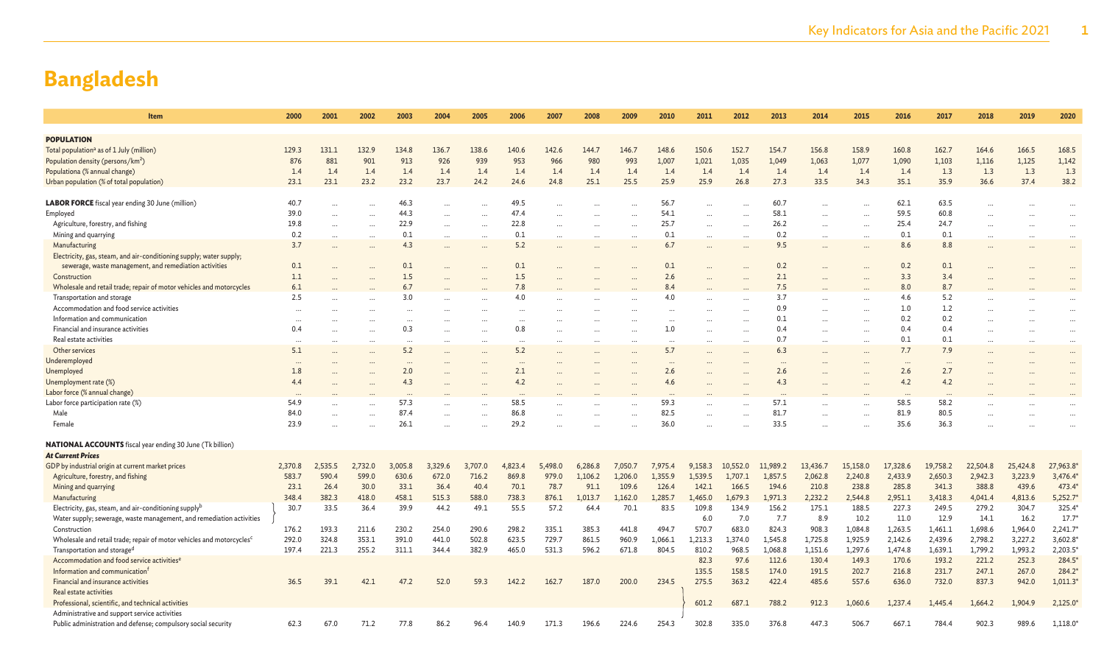| Item                                                                              | 2000      | 2001    | 2002      | 2003     | 2004      | 2005      | 2006     | 2007     | 2008    | 2009                 | 2010      | 2011      | 2012      | 2013      | 2014                 | 2015     | 2016     | 2017     | 2018      | 2019      | 2020           |
|-----------------------------------------------------------------------------------|-----------|---------|-----------|----------|-----------|-----------|----------|----------|---------|----------------------|-----------|-----------|-----------|-----------|----------------------|----------|----------|----------|-----------|-----------|----------------|
|                                                                                   |           |         |           |          |           |           |          |          |         |                      |           |           |           |           |                      |          |          |          |           |           |                |
| <b>POPULATION</b>                                                                 |           |         |           |          |           |           |          |          |         |                      |           |           |           |           |                      |          |          |          |           |           |                |
| Total population <sup>a</sup> as of 1 July (million)                              | 129.3     | 131.1   | 132.9     | 134.8    | 136.7     | 138.6     | 140.6    | 142.6    | 144.7   | 146.7                | 148.6     | 150.6     | 152.7     | 154.7     | 156.8                | 158.9    | 160.8    | 162.7    | 164.6     | 166.5     | 168.5          |
| Population density (persons/km <sup>2</sup> )                                     | 876       | 881     | 901       | 913      | 926       | 939       | 953      | 966      | 980     | 993                  | 1,007     | 1,021     | 1,035     | 1,049     | 1,063                | 1,077    | 1,090    | 1,103    | 1,116     | 1,125     | 1,142          |
| Populationa (% annual change)                                                     | 1.4       | 1.4     | 1.4       | 1.4      | 1.4       | 1.4       | 1.4      | 1.4      | 1.4     | 1.4                  | 1.4       | 1.4       | 1.4       | 1.4       | 1.4                  | 1.4      | 1.4      | 1.3      | 1.3       | 1.3       | 1.3            |
| Urban population (% of total population)                                          | 23.1      | 23.1    | 23.2      | 23.2     | 23.7      | 24.2      | 24.6     | 24.8     | 25.1    | 25.5                 | 25.9      | 25.9      | 26.8      | 27.3      | 33.5                 | 34.3     | 35.1     | 35.9     | 36.6      | 37.4      | 38.2           |
|                                                                                   |           |         |           |          |           |           |          |          |         |                      |           |           |           |           |                      |          |          |          |           |           |                |
| <b>LABOR FORCE</b> fiscal year ending 30 June (million)                           | 40.7      |         |           | 46.3     |           |           | 49.5     |          |         |                      | 56.7      |           |           | 60.7      |                      |          | 62.1     | 63.5     |           |           |                |
| Employed                                                                          | 39.0      |         | $\ddots$  | 44.3     |           | $\ddotsc$ | 47.4     |          |         |                      | 54.1      | $\ddots$  | $\cdots$  | 58.1      |                      |          | 59.5     | 60.8     |           |           |                |
| Agriculture, forestry, and fishing                                                | 19.8      |         | $\cdots$  | 22.9     | $\cdots$  | $\ddotsc$ | 22.8     |          |         |                      | 25.7      | $\ddots$  | $\cdots$  | 26.2      |                      |          | 25.4     | 24.7     |           |           |                |
| Mining and quarrying                                                              | 0.2       |         | $\cdots$  | 0.1      | $\cdots$  | $\cdots$  | 0.1      | $\cdots$ |         | $\ddotsc$            | 0.1       | $\cdots$  | $\cdots$  | 0.2       | $\ddot{\phantom{a}}$ |          | 0.1      | 0.1      | $\ddotsc$ |           | $\cdots$       |
| Manufacturing                                                                     | 3.7       |         | $\ddotsc$ | 4.3      | $\ddotsc$ |           | 5.2      |          |         |                      | 6.7       | $\ddotsc$ |           | 9.5       | $\ddotsc$            |          | 8.6      | 8.8      |           |           |                |
| Electricity, gas, steam, and air-conditioning supply; water supply;               |           |         |           |          |           |           |          |          |         |                      |           |           |           |           |                      |          |          |          |           |           |                |
| sewerage, waste management, and remediation activities                            | 0.1       |         |           | 0.1      |           |           | 0.1      |          |         |                      | 0.1       |           |           | 0.2       |                      |          | 0.2      | 0.1      |           |           |                |
| Construction                                                                      | 1.1       |         |           | 1.5      | $\ddotsc$ |           | 1.5      |          |         |                      | 2.6       |           | $\cdots$  | 2.1       |                      |          | 3.3      | 3.4      |           |           |                |
| Wholesale and retail trade; repair of motor vehicles and motorcycles              | 6.1       |         |           | 6.7      | $\ddotsc$ |           | 7.8      |          |         |                      | 8.4       |           |           | 7.5       |                      |          | 8.0      | 8.7      |           |           |                |
| Transportation and storage                                                        | 2.5       |         |           | 3.0      |           |           | 4.0      |          |         |                      | 4.0       |           |           | 3.7       |                      |          | 4.6      | 5.2      |           |           |                |
| Accommodation and food service activities                                         | $\cdots$  |         |           | $\cdots$ |           |           | $\ddots$ |          |         |                      | $\ddotsc$ |           |           | 0.9       |                      |          | 1.0      | 1.2      |           |           |                |
| Information and communication                                                     | $\cdots$  |         |           | $\cdots$ |           |           | $\cdots$ |          |         |                      | $\cdots$  |           |           | 0.1       |                      |          | 0.2      | 0.2      |           |           |                |
| Financial and insurance activities                                                | 0.4       |         | $\cdots$  | 0.3      | $\ddotsc$ |           | 0.8      |          |         |                      | 1.0       | $\ddotsc$ | $\cdots$  | 0.4       |                      |          | 0.4      | 0.4      | $\ddotsc$ |           | $\cdots$       |
| Real estate activities                                                            | $\ddotsc$ |         | $\cdots$  | $\cdots$ | $\cdots$  |           | $\ddots$ |          |         |                      | $\cdots$  |           | $\cdots$  | 0.7       |                      |          | 0.1      | 0.1      |           |           |                |
| Other services                                                                    | 5.1       |         |           | 5.2      | $\cdots$  |           | 5.2      |          |         |                      | 5.7       | $\cdots$  |           | 6.3       |                      |          | 7.7      | 7.9      |           | $\ddotsc$ | $\cdots$       |
| Underemployed                                                                     | $\cdots$  |         |           | $\cdots$ |           |           | $\ddots$ |          |         |                      | $\cdots$  |           |           |           |                      |          | $\cdots$ | $\ddots$ |           |           | $\cdots$       |
| Unemployed                                                                        | 1.8       |         |           | 2.0      |           |           | 2.1      |          |         |                      | 2.6       |           |           | 2.6       |                      |          | 2.6      | 2.7      |           |           |                |
| Unemployment rate (%)                                                             | 4.4       |         |           | 4.3      |           |           | 4.2      |          |         |                      | 4.6       |           |           | 4.3       |                      |          | 4.2      | 4.2      |           |           |                |
| Labor force (% annual change)                                                     | $\cdots$  |         |           | $\cdots$ | $\cdots$  |           | $\cdots$ |          |         |                      | $\cdots$  |           |           | $\ddotsc$ |                      |          | $\cdots$ | $\cdots$ |           |           |                |
| Labor force participation rate (%)                                                | 54.9      |         |           | 57.3     | $\ddotsc$ |           | 58.5     |          |         |                      | 59.3      |           |           | 57.1      |                      |          | 58.5     | 58.2     |           |           |                |
| Male                                                                              | 84.0      |         |           | 87.4     | $\ddotsc$ |           | 86.8     |          |         | $\ddot{\phantom{a}}$ | 82.5      | $\ddotsc$ | $\ddotsc$ | 81.7      | $\ddot{\phantom{a}}$ |          | 81.9     | 80.5     |           |           |                |
| Female                                                                            | 23.9      |         |           | 26.1     |           |           | 29.2     |          |         |                      | 36.0      |           |           | 33.5      |                      |          | 35.6     | 36.3     |           |           |                |
|                                                                                   |           |         |           |          |           |           |          |          |         |                      |           |           |           |           |                      |          |          |          |           |           |                |
| <b>NATIONAL ACCOUNTS</b> fiscal year ending 30 June (Tk billion)                  |           |         |           |          |           |           |          |          |         |                      |           |           |           |           |                      |          |          |          |           |           |                |
| <b>At Current Prices</b>                                                          |           |         |           |          |           |           |          |          |         |                      |           |           |           |           |                      |          |          |          |           |           |                |
| GDP by industrial origin at current market prices                                 | 2,370.8   | 2,535.5 | 2,732.0   | 3,005.8  | 3,329.6   | 3,707.0   | 4,823.4  | 5,498.0  | 6,286.8 | 7,050.7              | 7,975.4   | 9,158.3   | 10,552.0  | 11,989.2  | 13,436.7             | 15,158.0 | 17,328.6 | 19,758.2 | 22,504.8  | 25,424.8  | 27,963.8       |
| Agriculture, forestry, and fishing                                                | 583.7     | 590.4   | 599.0     | 630.6    | 672.0     | 716.2     | 869.8    | 979.0    | 1,106.2 | 1,206.0              | 1,355.9   | 1,539.5   | 1.707.1   | 1,857.5   | 2,062.8              | 2,240.8  | 2,433.9  | 2,650.3  | 2,942.3   | 3,223.9   | 3,476.4        |
| Mining and quarrying                                                              | 23.1      | 26.4    | 30.0      | 33.1     | 36.4      | 40.4      | 70.1     | 78.7     | 91.1    | 109.6                | 126.4     | 142.1     | 166.5     | 194.6     | 210.8                | 238.8    | 285.8    | 341.3    | 388.8     | 439.6     | 473.4          |
| Manufacturing                                                                     | 348.4     | 382.3   | 418.0     | 458.1    | 515.3     | 588.0     | 738.3    | 876.1    | 1,013.7 | 1,162.0              | 1,285.7   | 1,465.0   | 1,679.3   | 1,971.3   | 2,232.2              | 2,544.8  | 2,951.1  | 3,418.3  | 4,041.4   | 4,813.6   | 5,252.7        |
| Electricity, gas, steam, and air-conditioning supply <sup>b</sup>                 | 30.7      | 33.5    | 36.4      | 39.9     | 44.2      | 49.1      | 55.5     | 57.2     | 64.4    | 70.1                 | 83.5      | 109.8     | 134.9     | 156.2     | 175.1                | 188.5    | 227.3    | 249.5    | 279.2     | 304.7     | 325.4          |
| Water supply; sewerage, waste management, and remediation activities              |           |         |           |          |           |           |          |          |         |                      |           | 6.0       | 7.0       | 7.7       | 8.9                  | 10.2     | 11.0     | 12.9     | 14.1      | 16.2      | $17.7^{\circ}$ |
| Construction                                                                      | 176.2     | 193.3   | 211.6     | 230.2    | 254.0     | 290.6     | 298.2    | 335.1    | 385.3   | 441.8                | 494.7     | 570.7     | 683.0     | 824.3     | 908.3                | 1,084.8  | 1,263.5  | 1,461.1  | 1,698.6   | 1,964.0   | 2,241.7'       |
| Wholesale and retail trade; repair of motor vehicles and motorcycles <sup>c</sup> | 292.0     | 324.8   | 353.1     | 391.0    | 441.0     | 502.8     | 623.5    | 729.7    | 861.5   | 960.9                | 1,066.1   | 1,213.3   | 1,374.0   | 1,545.8   | 1,725.8              | 1,925.9  | 2,142.6  | 2,439.6  | 2,798.2   | 3,227.2   | 3,602.8        |
| Transportation and storage <sup>d</sup>                                           | 197.4     | 221.3   | 255.2     | 311.1    | 344.4     | 382.9     | 465.0    | 531.3    | 596.2   | 671.8                | 804.5     | 810.2     | 968.5     | 1,068.8   | 1,151.6              | 1,297.6  | 1,474.8  | 1,639.1  | 1,799.2   | 1,993.2   | 2,203.5'       |
| Accommodation and food service activities <sup>e</sup>                            |           |         |           |          |           |           |          |          |         |                      |           | 82.3      | 97.6      | 112.6     | 130.4                | 149.3    | 170.6    | 193.2    | 221.2     | 252.3     | 284.5*         |
| Information and communication                                                     |           |         |           |          |           |           |          |          |         |                      |           | 135.5     | 158.5     | 174.0     | 191.5                | 202.7    | 216.8    | 231.7    | 247.1     | 267.0     | 284.2          |
| Financial and insurance activities                                                | 36.5      | 39.1    | 42.1      | 47.2     | 52.0      | 59.3      | 142.2    | 162.7    | 187.0   | 200.0                | 234.5     | 275.5     | 363.2     | 422.4     | 485.6                | 557.6    | 636.0    | 732.0    | 837.3     | 942.0     | 1,011.3        |
| Real estate activities                                                            |           |         |           |          |           |           |          |          |         |                      |           |           |           |           |                      |          |          |          |           |           |                |
| Professional, scientific, and technical activities                                |           |         |           |          |           |           |          |          |         |                      |           | 601.2     | 687.1     | 788.2     | 912.3                | 1,060.6  | 1,237.4  | 1,445.4  | 1,664.2   | 1,904.9   | 2,125.0        |
| Administrative and support service activities                                     |           |         |           |          |           |           |          |          |         |                      |           |           |           |           |                      |          |          |          |           |           |                |
| Public administration and defense; compulsory social security                     | 62.3      | 67.0    | 71.2      | 77.8     | 86.2      | 96.4      | 140.9    | 171.3    | 196.6   | 224.6                | 254.3     | 302.8     | 335.0     | 376.8     | 447.3                | 506.7    | 667.1    | 784.4    | 902.3     | 989.6     | 1,118.0        |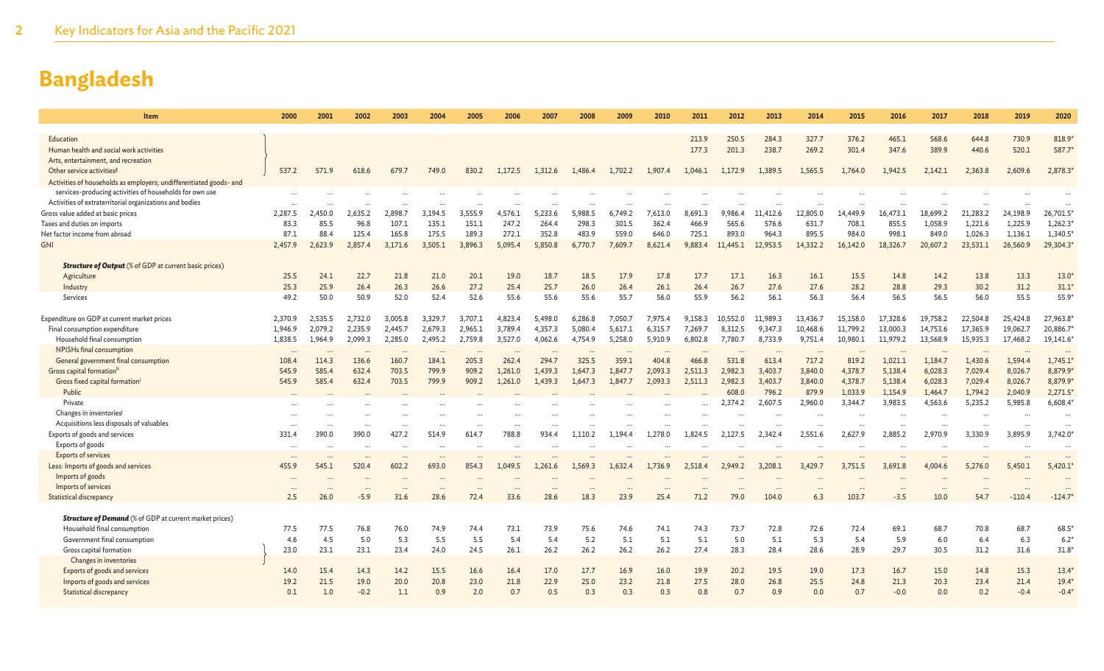| <b>Item</b>                                                        | 2000              | 2001              | 2002              | 2003                 | 2004      | 2005               | 2006              | 2007     | 2008    | 2009      | 2010    | 2011           | 2012           | 2013              | 2014              | 2015           | 2016           | 2017                | 2018                | 2019                 | 2020            |
|--------------------------------------------------------------------|-------------------|-------------------|-------------------|----------------------|-----------|--------------------|-------------------|----------|---------|-----------|---------|----------------|----------------|-------------------|-------------------|----------------|----------------|---------------------|---------------------|----------------------|-----------------|
|                                                                    |                   |                   |                   |                      |           |                    |                   |          |         |           |         |                |                |                   |                   |                |                |                     |                     |                      |                 |
| Education<br>Human health and social work activities               |                   |                   |                   |                      |           |                    |                   |          |         |           |         | 213.9<br>177.3 | 250.5<br>201.3 | 284.3<br>238.7    | 327.7<br>269.2    | 376.2<br>301.4 | 465.1<br>347.6 | 568.6<br>389.9      | 644.8<br>440.6      | 730.9<br>520.1       | 818.9*<br>587.7 |
| Arts, entertainment, and recreation                                |                   |                   |                   |                      |           |                    |                   |          |         |           |         |                |                |                   |                   |                |                |                     |                     |                      |                 |
| Other service activities <sup>g</sup>                              | 537.2             | 571.9             | 618.6             | 679.7                | 749.0     | 830.2              | 1,172.5           | 1,312.6  | 1,486.4 | 1,702.2   | 1,907.4 | 1,046.1        | 1,172.9        | 1.389.5           | 1,565.5           | 1,764.0        | 1,942.5        | 2,142.1             | 2,363.8             | 2,609.6              | 2,878.3         |
| Activities of households as employers; undifferentiated goods- and |                   |                   |                   |                      |           |                    |                   |          |         |           |         |                |                |                   |                   |                |                |                     |                     |                      |                 |
| services-producing activities of households for own use            |                   |                   |                   |                      |           |                    |                   |          |         |           |         |                |                |                   |                   |                |                |                     |                     |                      |                 |
| Activities of extraterritorial organizations and bodies            |                   |                   |                   |                      |           |                    |                   |          |         |           |         |                |                |                   |                   |                |                |                     |                     |                      |                 |
| Gross value added at basic prices                                  | 2.287.5           | 2.450.0           | 2.635.2           | 2.898.7              | 3.194.5   | 3.555.9            | 4.576.1           | 5.233.6  | 5.988.5 | 6.749.2   | 7.613.0 | 8.691.3        | 9,986.4        | 11.412.6          | 12.805.0          | 14,449.9       | 16,473.1       | 18,699.2            | 21,283.2            | 24,198.9             | 26,701.5        |
| Taxes and duties on imports                                        | 83.3              | 85.5              | 96.8              | 107.1                | 135.1     | 151.1              | 247.2             | 264.4    | 298.3   | 301.5     | 362.4   | 466.9          | 565.6          | 576.6             | 631.7             | 708.1          | 855.5          | 1,058.9             | 1,221.6             | 1,225.9              | 1,262.3         |
| Net factor income from abroad                                      | 87.1              | 88.4              | 125.4             | 165.8                | 175.5     | 189.3              | 272.1             | 352.8    | 483.9   | 559.0     | 646.0   | 725.1          | 893.0          | 964.3             | 895.5             | 984.0          | 998.1          | 849.0               | 1,026.3             | 1,136.1              | 1,340.5         |
| <b>GNI</b>                                                         | 2,457.9           | 2,623.9           | 2,857.4           | 3,171.6              | 3,505.1   | 3,896.3            | 5,095.4           | 5,850.8  | 6,770.7 | 7,609.7   | 8,621.4 | 9,883.4        | 11,445.1       | 12,953.5          | 14,332.2          | 16,142.0       | 18,326.7       | 20,607.2            | 23,531.1            | 26,560.9             | 29,304.3        |
|                                                                    |                   |                   |                   |                      |           |                    |                   |          |         |           |         |                |                |                   |                   |                |                |                     |                     |                      |                 |
| <b>Structure of Output</b> (% of GDP at current basic prices)      |                   |                   |                   |                      |           |                    |                   |          |         |           |         |                |                |                   |                   |                |                |                     |                     |                      |                 |
| Agriculture                                                        | 25.5              | 24.1              | 22.7              | 21.8                 | 21.0      | 20.1               | 19.0              | 18.7     | 18.5    | 17.9      | 17.8    | 17.7           | 17.1           | 16.3              | 16.1              | 15.5           | 14.8           | 14.2                | 13.8                | 13.3                 | 13.0            |
| Industry                                                           | 25.3              | 25.9              | 26.4              | 26.3                 | 26.6      | 27.2               | 25.4              | 25.7     | 26.0    | 26.4      | 26.1    | 26.4           | 26.7           | 27.6              | 27.6              | 28.2           | 28.8           | 29.3                | 30.2                | 31.2                 | $31.1*$         |
| Services                                                           | 49.2              | 50.0              | 50.9              | 52.0                 | 52.4      | 52.6               | 55.6              | 55.6     | 55.6    | 55.7      | 56.0    | 55.9           | 56.2           | 56.1              | 56.3              | 56.4           | 56.5           | 56.5                | 56.0                | 55.5                 | $55.9*$         |
|                                                                    |                   |                   |                   |                      |           |                    |                   |          |         |           |         |                |                |                   |                   |                |                |                     |                     |                      |                 |
| Expenditure on GDP at current market prices                        | 2,370.9           | 2,535.5           | 2.732.0           | 3.005.8              | 3,329.7   | 3.707.1            | 4.823.4           | 5.498.0  | 6.286.8 | 7.050.7   | 7.975.4 | 9.158.3        | 10.552.0       | 11,989.3          | 13,436.7          | 15,158.0       | 17,328.6       | 19.758.2            | 22,504.8            | 25,424.8             | 27,963.8        |
| Final consumption expenditure                                      | 1,946.9           | 2,079.2           | 2,235.9           | 2,445.7              | 2,679.3   | 2,965.1            | 3,789.4           | 4,357.3  | 5,080.4 | 5,617.1   | 6,315.7 | 7,269.7        | 8,312.5        | 9,347.3           | 10,468.6          | 11,799.2       | 13,000.3       | 14,753.6            | 17,365.9            | 19,062.7             | 20,886.7        |
| Household final consumption<br>NPISHs final consumption            | 1,838.5           | 1,964.9           | 2,099.3           | 2,285.0              | 2,495.2   | 2,759.8            | 3,527.0           | 4,062.6  | 4.754.9 | 5,258.0   | 5,910.9 | 6,802.8        | 7,780.7        | 8,733.9           | 9,751.4           | 10,980.1       | 11,979.2       | 13,568.9            | 15,935.3            | 17,468.2             | 19,141.6        |
| General government final consumption                               | $\cdots$<br>108.4 | $\cdots$<br>114.3 | $\cdots$<br>136.6 | $\cdots$<br>160.7    | <br>184.1 | $\ddotsc$<br>205.3 | $\cdots$<br>262.4 | 294.7    | 325.5   | <br>359.1 | 404.8   | <br>466.8      | 531.8          | $\cdots$<br>613.4 | $\cdots$<br>717.2 | 819.2          | 1.021.1        | $\cdots$<br>1.184.7 | $\cdots$<br>1.430.6 | $\ddotsc$<br>1,594.4 | 1,745.1         |
| Gross capital formationh                                           | 545.9             | 585.4             | 632.4             | 703.5                | 799.9     | 909.2              | 1.261.0           | 1.439.3  | 1,647.3 | 1.847.7   | 2,093.3 | 2.511.3        | 2.982.3        | 3.403.7           | 3.840.0           | 4,378.7        | 5,138.4        | 6,028.3             | 7,029.4             | 8,026.7              | 8,879.9         |
| Gross fixed capital formationi                                     | 545.9             | 585.4             | 632.4             | 703.5                | 799.9     | 909.2              | 1,261.0           | 1,439.3  | 1,647.3 | 1,847.7   | 2,093.3 | 2,511.3        | 2.982.3        | 3,403.7           | 3.840.0           | 4,378.7        | 5,138.4        | 6,028.3             | 7,029.4             | 8,026.7              | 8,879.9         |
| Public                                                             |                   |                   |                   |                      |           |                    |                   |          |         |           |         |                | 608.0          | 796.2             | 879.9             | 1,033.9        | 1.154.9        | 1,464.7             | 1.794.2             | 2,040.9              | 2,271.5         |
| Private                                                            |                   |                   |                   |                      |           |                    |                   |          |         |           |         |                | 2,374.2        | 2,607.5           | 2,960.0           | 3,344.7        | 3,983.5        | 4,563.6             | 5,235.2             | 5,985.8              | 6,608.4         |
| Changes in inventories <sup>j</sup>                                |                   |                   |                   |                      |           |                    |                   |          |         |           |         |                |                |                   |                   |                |                |                     |                     |                      |                 |
| Acquisitions less disposals of valuables                           |                   |                   |                   |                      |           |                    |                   |          |         |           |         |                |                |                   |                   |                |                |                     |                     |                      | $\ddotsc$       |
| Exports of goods and services                                      | 331.4             | 390.0             | 390.0             | 427.2                | 514.9     | 614.7              | 788.8             | 934.4    | 1,110.2 | 1,194.4   | 1,278.0 | 1,824.5        | 2,127.5        | 2,342.4           | 2,551.6           | 2,627.9        | 2,885.2        | 2,970.9             | 3,330.9             | 3,895.9              | $3,742.0*$      |
| Exports of goods                                                   | $\cdots$          | $\cdots$          | $\cdots$          | $\ddotsc$            | $\ddotsc$ | $\cdots$           | $\ddotsc$         | $\cdots$ |         | $\ddotsc$ |         | $\ddotsc$      | $\cdots$       | $\cdots$          | $\cdots$          | $\cdots$       | $\cdots$       | $\cdots$            | $\cdots$            | $\ddotsc$            | $\ddotsc$       |
| <b>Exports of services</b>                                         | $\ddotsc$         |                   | $\ddotsc$         | $\ddot{\phantom{a}}$ | $\ddotsc$ | $\ddotsc$          |                   |          |         |           |         |                |                |                   |                   |                |                |                     |                     |                      | $\ddotsc$       |
| Less: Imports of goods and services                                | 455.9             | 545.1             | 520.4             | 602.2                | 693.0     | 854.3              | 1.049.5           | 1,261.6  | 1,569.3 | 1,632.4   | 1,736.9 | 2,518.4        | 2,949.2        | 3,208.1           | 3,429.7           | 3,751.5        | 3,691.8        | 4.004.6             | 5,276.0             | 5,450.1              | 5,420.1         |
| Imports of goods                                                   |                   |                   |                   |                      |           |                    |                   |          |         |           |         |                |                |                   |                   |                |                |                     |                     |                      |                 |
| Imports of services                                                |                   |                   |                   |                      |           |                    |                   |          |         |           |         |                |                |                   |                   |                |                |                     |                     |                      |                 |
| Statistical discrepancy                                            | 2.5               | 26.0              | $-5.9$            | 31.6                 | 28.6      | 72.4               | 33.6              | 28.6     | 18.3    | 23.9      | 25.4    | 71.2           | 79.0           | 104.0             | 6.3               | 103.7          | $-3.5$         | 10.0                | 54.7                | $-110.4$             | $-124.7'$       |
| <b>Structure of Demand</b> (% of GDP at current market prices)     |                   |                   |                   |                      |           |                    |                   |          |         |           |         |                |                |                   |                   |                |                |                     |                     |                      |                 |
| Household final consumption                                        | 77.5              | 77.5              | 76.8              | 76.0                 | 74.9      | 74.4               | 73.1              | 73.9     | 75.6    | 74.6      | 74.1    | 74.3           | 73.7           | 72.8              | 72.6              | 72.4           | 69.1           | 68.7                | 70.8                | 68.7                 | $68.5*$         |
| Government final consumption                                       | 4.6               | 4.5               | 5.0               | 5.3                  | 5.5       | 5.5                | 5.4               | 5.4      | 5.2     | 5.1       | 5.1     | 5.1            | 5.0            | 5.1               | 5.3               | 5.4            | 5.9            | 6.0                 | 6.4                 | 6.3                  | 6.2             |
| Gross capital formation                                            | 23.0              | 23.1              | 23.1              | 23.4                 | 24.0      | 24.5               | 26.1              | 26.2     | 26.2    | 26.2      | 26.2    | 27.4           | 28.3           | 28.4              | 28.6              | 28.9           | 29.7           | 30.5                | 31.2                | 31.6                 | $31.8*$         |
| Changes in inventories                                             |                   |                   |                   |                      |           |                    |                   |          |         |           |         |                |                |                   |                   |                |                |                     |                     |                      |                 |
| Exports of goods and services                                      | 14.0              | 15.4              | 14.3              | 14.2                 | 15.5      | 16.6               | 16.4              | 17.0     | 17.7    | 16.9      | 16.0    | 19.9           | 20.2           | 19.5              | 19.0              | 17.3           | 16.7           | 15.0                | 14.8                | 15.3                 | $13.4*$         |
| Imports of goods and services                                      | 19.2              | 21.5              | 19.0              | 20.0                 | 20.8      | 23.0               | 21.8              | 22.9     | 25.0    | 23.2      | 21.8    | 27.5           | 28.0           | 26.8              | 25.5              | 24.8           | 21.3           | 20.3                | 23.4                | 21.4                 | $19.4*$         |
| Statistical discrepancy                                            | 0.1               | 1.0               | $-0.2$            | 1.1                  | 0.9       | 2.0                | 0.7               | 0.5      | 0.3     | 0.3       | 0.3     | 0.8            | 0.7            | 0.9               | 0.0               | 0.7            | $-0.0$         | 0.0                 | 0.2                 | $-0.4$               | $-0.4$          |
|                                                                    |                   |                   |                   |                      |           |                    |                   |          |         |           |         |                |                |                   |                   |                |                |                     |                     |                      |                 |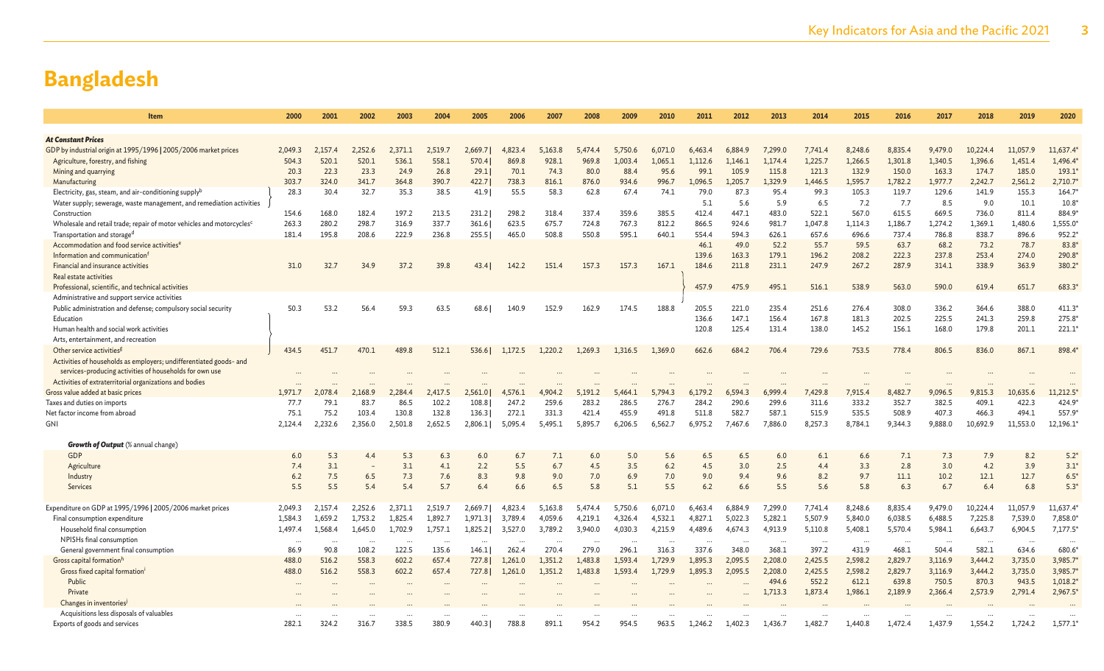| Item                                                                              | 2000         | 2001         | 2002           | 2003          |                |                |                |                |                |                | 2010           |                |                | 2013           | 2014           | 2015           | 2016           | 2017           | 2018           | 2019           | 2020            |
|-----------------------------------------------------------------------------------|--------------|--------------|----------------|---------------|----------------|----------------|----------------|----------------|----------------|----------------|----------------|----------------|----------------|----------------|----------------|----------------|----------------|----------------|----------------|----------------|-----------------|
|                                                                                   |              |              |                |               |                |                |                |                |                |                |                |                |                |                |                |                |                |                |                |                |                 |
| <b>At Constant Prices</b>                                                         |              |              |                |               |                |                |                |                |                |                |                |                |                |                |                |                |                |                |                |                |                 |
| GDP by industrial origin at 1995/1996   2005/2006 market prices                   | 2.049.3      | 2.157.4      | 2.252.6        | 2.371.1       | 2,519.7        | 2,669.7        | 4,823.4        | 5,163.8        | 5.474.4        | 5,750.6        | 6,071.0        | 6,463.4        | 6,884.9        | 7,299.0        | 7.741.4        | 8,248.6        | 8.835.4        | 9,479.0        | 10,224.4       | 11.057.9       | 11,637.4        |
| Agriculture, forestry, and fishing                                                | 504.3        | 520.1        | 520.1          | 536.1         | 558.1          | 570.4          | 869.8          | 928.1          | 969.8          | 1,003.4        | 1,065.1        | 1,112.6        | 1,146.1        | 1,174.4        | 1,225.7        | 1,266.5        | 1,301.8        | 1,340.5        | 1,396.6        | 1,451.4        | 1,496.4         |
| Mining and quarrying                                                              | 20.3         | 22.3         | 23.3           | 24.9          | 26.8           | 29.1           | 70.1           | 74.3           | 80.0           | 88.4           | 95.6           | 99.1           | 105.9          | 115.8          | 121.3          | 132.9          | 150.0          | 163.3          | 174.7          | 185.0          | 193.1           |
| Manufacturing                                                                     | 303.7        | 324.0        | 341.7          | 364.8         | 390.7          | 422.7          | 738.3          | 816.1          | 876.0          | 934.6          | 996.7          | 1,096.5        | 1,205.7        | 1,329.9        | 1,446.5        | 1,595.7        | 1,782.2        | 1,977.7        | 2,242.7        | 2,561.2        | 2,710.7         |
| Electricity, gas, steam, and air-conditioning supply <sup>b</sup>                 | 28.3         | 30.4         | 32.7           | 35.3          | 38.5           | 41.91          | 55.5           | 58.3           | 62.8           | 67.4           | 74.1           | 79.0           | 87.3           | 95.4           | 99.3           | 105.3          | 119.7          | 129.6          | 141.9          | 155.3          | $164.7^{\circ}$ |
| Water supply; sewerage, waste management, and remediation activities              |              |              |                |               |                |                |                |                |                |                |                | 5.1            | 5.6            | 5.9            | 6.5            | 7.2            | 7.7            | 8.5            | 9.0            | 10.1           | 10.8            |
| Construction                                                                      | 154.6        | 168.0        | 182.4          | 197.2         | 213.5          | 231.2          | 298.2          | 318.4          | 337.4          | 359.6          | 385.5          | 412.4          | 447.1          | 483.0          | 522.1          | 567.0          | 615.5          | 669.5          | 736.0          | 811.4          | 884.9           |
| Wholesale and retail trade; repair of motor vehicles and motorcycles <sup>c</sup> | 263.3        | 280.2        | 298.7          | 316.9         | 337.7          | 361.6          | 623.5          | 675.7          | 724.8          | 767.3          | 812.2          | 866.5          | 924.6          | 981.7          | 1.047.8        | 1.114.3        | 1.186.7        | 1.274.2        | 1.369.1        | 1.480.6        | 1,555.0         |
| Transportation and storage <sup>d</sup>                                           | 181.4        | 195.8        | 208.6          | 222.9         | 236.8          | 255.5          | 465.0          | 508.8          | 550.8          | 595.1          | 640.1          | 554.4          | 594.3          | 626.1          | 657.6          | 696.6          | 737.4          | 786.8          | 838.7          | 896.6          | 952.2           |
| Accommodation and food service activities <sup>e</sup>                            |              |              |                |               |                |                |                |                |                |                |                | 46.1           | 49.0           | 52.2           | 55.7           | 59.5           | 63.7           | 68.2           | 73.2           | 78.7           | 83.8            |
| Information and communication <sup>f</sup>                                        |              |              |                |               |                |                |                |                |                |                |                | 139.6          | 163.3          | 179.1          | 196.2          | 208.2          | 222.3          | 237.8          | 253.4          | 274.0          | 290.8           |
| Financial and insurance activities                                                | 31.0         | 32.7         | 34.9           | 37.2          | 39.8           | 43.41          | 142.2          | 151.4          | 157.3          | 157.3          | 167.1          | 184.6          | 211.8          | 231.1          | 247.9          | 267.2          | 287.9          | 314.1          | 338.9          | 363.9          | 380.2           |
| Real estate activities                                                            |              |              |                |               |                |                |                |                |                |                |                |                |                |                |                |                |                |                |                |                |                 |
| Professional, scientific, and technical activities                                |              |              |                |               |                |                |                |                |                |                |                | 457.9          | 475.9          | 495.1          | 516.1          | 538.9          | 563.0          | 590.0          | 619.4          | 651.7          | 683.3           |
| Administrative and support service activities                                     |              |              |                |               |                |                |                |                |                |                |                |                |                |                |                |                |                |                |                |                |                 |
| Public administration and defense; compulsory social security                     | 50.3         | 53.2         | 56.4           | 59.3          | 63.5           | 68.61          | 140.9          | 152.9          | 162.9          | 174.5          | 188.8          | 205.5          | 221.0          | 235.4          | 251.6          | 276.4          | 308.0          | 336.2          | 364.6          | 388.0          | 411.3           |
| Education                                                                         |              |              |                |               |                |                |                |                |                |                |                | 136.6          | 147.1          | 156.4          | 167.8          | 181.3          | 202.5          | 225.5          | 241.3          | 259.8          | 275.8           |
| Human health and social work activities                                           |              |              |                |               |                |                |                |                |                |                |                | 120.8          | 125.4          | 131.4          | 138.0          | 145.2          | 156.1          | 168.0          | 179.8          | 201.1          | 221.1'          |
| Arts, entertainment, and recreation                                               |              |              |                |               |                |                |                |                |                |                |                |                |                |                |                |                |                |                |                |                |                 |
| Other service activities <sup>g</sup>                                             | 434.5        | 451.7        | 470.1          | 489.8         | 512.1          | 536.6          | 1,172.5        | 1,220.2        | 1,269.3        | 1,316.5        | 1,369.0        | 662.6          | 684.2          | 706.4          | 729.6          | 753.5          | 778.4          | 806.5          | 836.0          | 867.1          | 898.4           |
| Activities of households as employers; undifferentiated goods- and                |              |              |                |               |                |                |                |                |                |                |                |                |                |                |                |                |                |                |                |                |                 |
| services-producing activities of households for own use                           |              |              |                |               |                |                |                |                |                |                |                |                |                |                |                |                |                |                |                |                |                 |
| Activities of extraterritorial organizations and bodies                           |              |              |                |               |                |                |                |                |                |                |                |                |                |                |                |                |                |                |                |                |                 |
| Gross value added at basic prices                                                 | 1,971.7      | 2,078.4      | 2,168.9        | 2.284.4       | 2,417.5        | 2,561.0        | 4,576.1        | 4,904.2        | 5,191.2        | 5,464.1        | 5,794.3        | 6.179.2        | 6,594.3        | 6,999.4        | 7,429.8        | 7,915.4        | 8,482.7        | 9,096.5        | 9,815.3        | 10,635.6       | 11,212.5        |
| Taxes and duties on imports<br>Net factor income from abroad                      | 77.7<br>75.1 | 79.1<br>75.2 | 83.7<br>103.4  | 86.5<br>130.8 | 102.2<br>132.8 | 108.8<br>136.3 | 247.2<br>272.1 | 259.6<br>331.3 | 283.2<br>421.4 | 286.5<br>455.9 | 276.7<br>491.8 | 284.2<br>511.8 | 290.6<br>582.7 | 299.6<br>587.1 | 311.6<br>515.9 | 333.2<br>535.5 | 352.7<br>508.9 | 382.5<br>407.3 | 409.1<br>466.3 | 422.3<br>494.1 | 424.9<br>557.9  |
| <b>GNI</b>                                                                        | 2,124.4      | 2,232.6      | 2.356.0        | 2,501.8       | 2,652.5        | 2,806.1        | 5,095.4        | 5,495.1        | 5,895.7        | 6,206.5        | 6,562.7        | 6,975.2        | 7,467.6        | 7,886.0        | 8,257.3        | 8,784.1        | 9,344.3        | 9,888.0        | 10,692.9       | 11,553.0       | 12,196.1        |
|                                                                                   |              |              |                |               |                |                |                |                |                |                |                |                |                |                |                |                |                |                |                |                |                 |
| <b>Growth of Output</b> (% annual change)                                         |              |              |                |               |                |                |                |                |                |                |                |                |                |                |                |                |                |                |                |                |                 |
| <b>GDP</b>                                                                        | 6.0          | 5.3          | 4.4            | 5.3           | 6.3            | 6.0            | 6.7            | 7.1            | 6.0            | 5.0            | 5.6            | 6.5            | 6.5            | 6.0            | 6.1            | 6.6            | 7.1            | 7.3            | 7.9            | 8.2            | $5.2*$          |
| Agriculture                                                                       | 7.4          | 3.1          | $\overline{a}$ | 3.1           | 4.1            | 2.2            | 5.5            | 6.7            | 4.5            | 3.5            | 6.2            | 4.5            | 3.0            | 2.5            | 4.4            | 3.3            | 2.8            | 3.0            | 4.2            | 3.9            | $3.1*$          |
| Industry                                                                          | 6.2          | 7.5          | 6.5            | 7.3           | 7.6            | 8.3            | 9.8            | 9.0            | 7.0            | 6.9            | 7.0            | 9.0            | 9.4            | 9.6            | 8.2            | 9.7            | 11.1           | 10.2           | 12.1           | 12.7           | $6.5*$          |
| Services                                                                          | 5.5          | 5.5          | 5.4            | 5.4           | 5.7            | 6.4            | 6.6            | 6.5            | 5.8            | 5.1            | 5.5            | 6.2            | 6.6            | 5.5            | 5.6            | 5.8            | 6.3            | 6.7            | 6.4            | 6.8            | $5.3*$          |
|                                                                                   |              |              |                |               |                |                |                |                |                |                |                |                |                |                |                |                |                |                |                |                |                 |
| Expenditure on GDP at 1995/1996   2005/2006 market prices                         | 2.049.3      | 2,157.4      | 2,252.6        | 2,371.1       | 2,519.7        | 2,669.7        | 4,823.4        | 5,163.8        | 5.474.4        | 5,750.6        | 6,071.0        | 6,463.4        | 6.884.9        | 7,299.0        | 7,741.4        | 8,248.6        | 8,835.4        | 9,479.0        | 10,224.4       | 11,057.9       | 11,637.4        |
| Final consumption expenditure                                                     | 1.584.3      | 1,659.2      | 1.753.2        | 1,825.4       | 1,892.7        | 1,971.3        | 3,789.4        | 4,059.6        | 4,219.1        | 4,326.4        | 4,532.1        | 4,827.1        | 5,022.3        | 5,282.1        | 5,507.9        | 5,840.0        | 6,038.5        | 6,488.5        | 7,225.8        | 7,539.0        | 7,858.0         |
| Household final consumption                                                       | 1.497.4      | 1,568.4      | 1.645.0        | 1,702.9       | 1,757.1        | 1,825.2        | 3,527.0        | 3.789.2        | 3.940.0        | 4,030.3        | 4,215.9        | 4,489.6        | 4,674.3        | 4,913.9        | 5,110.8        | 5,408.1        | 5,570.4        | 5,984.1        | 6,643.7        | 6,904.5        | 7,177.5         |
| NPISHs final consumption                                                          |              |              | $\ddots$       |               |                |                |                |                |                |                |                |                | $\cdots$       |                | $\ddots$       |                |                |                |                |                |                 |
| General government final consumption                                              | 86.9         | 90.8         | 108.2          | 122.5         | 135.6          | 146.1          | 262.4          | 270.4          | 279.0          | 296.1          | 316.3          | 337.6          | 348.0          | 368.1          | 397.2          | 431.9          | 468.1          | 504.4          | 582.1          | 634.6          | 680.6           |
| Gross capital formation <sup>h</sup>                                              | 488.0        | 516.2        | 558.3          | 602.2         | 657.4          | 727.8          | 1,261.0        | 1,351.2        | 1,483.8        | 1.593.4        | 1,729.9        | 1,895.3        | 2,095.5        | 2,208.0        | 2,425.5        | 2,598.2        | 2,829.7        | 3,116.9        | 3,444.2        | 3,735.0        | 3,985.7         |
| Gross fixed capital formation <sup>i</sup>                                        | 488.0        | 516.2        | 558.3          | 602.2         | 657.4          | 727.8          | 1,261.0        | 1,351.2        | 1,483.8        | 1,593.4        | 1,729.9        | 1,895.3        | 2,095.5        | 2,208.0        | 2,425.5        | 2,598.2        | 2,829.7        | 3,116.9        | 3.444.2        | 3,735.0        | 3,985.7         |
| Public                                                                            |              |              |                |               |                |                |                |                |                |                |                |                |                | 494.6          | 552.2          | 612.1          | 639.8          | 750.5          | 870.3          | 943.5          | 1,018.2         |
| Private                                                                           |              |              |                |               |                |                |                |                |                |                |                |                |                | 1,713.3        | 1,873.4        | 1,986.1        | 2,189.9        | 2,366.4        | 2,573.9        | 2,791.4        | 2,967.5         |
| Changes in inventories <sup>j</sup>                                               |              |              |                |               |                |                |                |                |                |                |                |                |                |                |                |                |                |                |                |                |                 |
| Acquisitions less disposals of valuables                                          |              |              |                |               |                |                |                |                |                |                |                |                |                |                |                |                |                |                |                |                |                 |
| Exports of goods and services                                                     | 282.1        | 324.2        | 316.7          | 338.5         | 380.9          | 440.3          | 788.8          | 891.1          | 954.2          | 954.5          | 963.5          | 1,246.2        | 1,402.3        | 1,436.7        | 1,482.7        | 1,440.8        | 1,472.4        | 1,437.9        | 1,554.2        | 1,724.2        | 1,577.1         |
|                                                                                   |              |              |                |               |                |                |                |                |                |                |                |                |                |                |                |                |                |                |                |                |                 |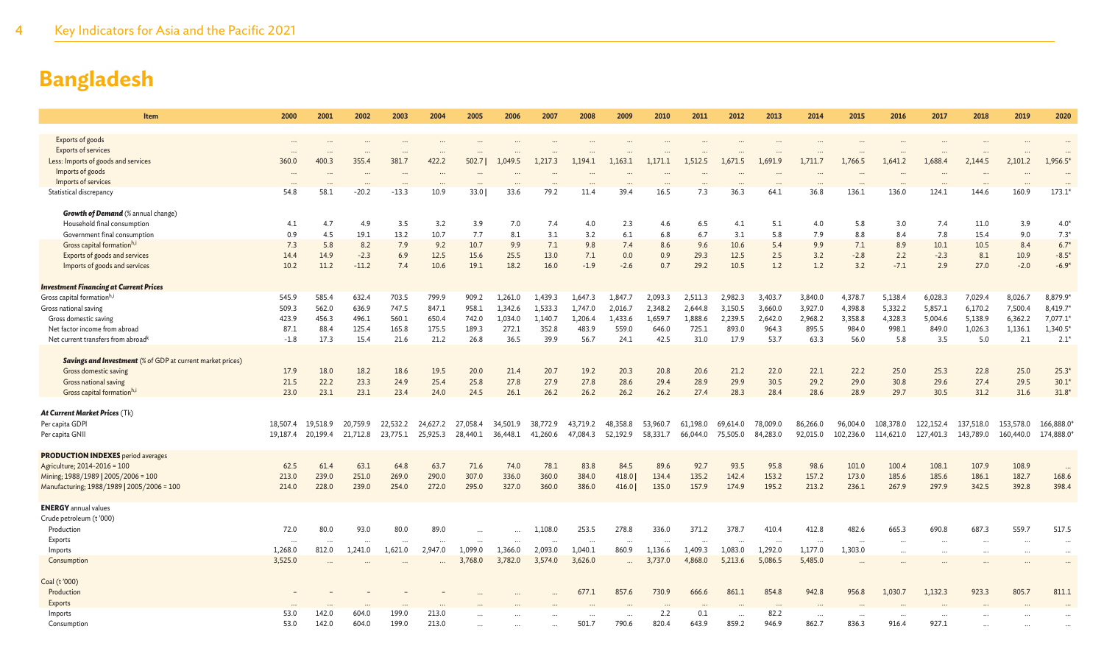| Item                                                              | 2000              | 2001           | 2002           | 2003           | 2004           | 2005           | 2006               | 2007             | 2008             | 2009               | 2010             | 2011                 | 2012               | 2013             | 2014             | 2015             | 2016             | 2017             | 2018               | 2019               | 2020                  |
|-------------------------------------------------------------------|-------------------|----------------|----------------|----------------|----------------|----------------|--------------------|------------------|------------------|--------------------|------------------|----------------------|--------------------|------------------|------------------|------------------|------------------|------------------|--------------------|--------------------|-----------------------|
|                                                                   |                   |                |                |                |                |                |                    |                  |                  |                    |                  |                      |                    |                  |                  |                  |                  |                  |                    |                    |                       |
| Exports of goods<br><b>Exports of services</b>                    | $\cdots$          |                |                |                |                |                |                    |                  |                  |                    |                  |                      |                    |                  |                  |                  |                  |                  |                    |                    |                       |
| Less: Imports of goods and services                               | $\cdots$<br>360.0 | 400.3          | 355.4          | 381.7          | 422.2          | 502.71         | 1,049.5            | 1,217.3          | 1.194.1          | 1,163.1            | 1.171.1          | 1,512.5              | 1,671.5            | 1,691.9          | 1,711.7          | 1,766.5          | 1,641.2          | 1,688.4          | 2,144.5            | 2,101.2            | $\ddotsc$<br>1,956.5* |
| Imports of goods                                                  |                   |                |                |                |                |                |                    |                  |                  |                    |                  |                      |                    |                  |                  |                  |                  |                  |                    |                    |                       |
| Imports of services                                               |                   |                |                |                |                |                |                    |                  |                  |                    |                  |                      |                    |                  |                  |                  |                  |                  |                    |                    |                       |
| Statistical discrepancy                                           | 54.8              | 58.1           | $-20.2$        | $-13.3$        | 10.9           | 33.01          | 33.6               | 79.2             | 11.4             | 39.4               | 16.5             | 7.3                  | 36.3               | 64.1             | 36.8             | 136.1            | 136.0            | 124.1            | 144.6              | 160.9              | $173.1*$              |
|                                                                   |                   |                |                |                |                |                |                    |                  |                  |                    |                  |                      |                    |                  |                  |                  |                  |                  |                    |                    |                       |
| <b>Growth of Demand</b> (% annual change)                         |                   |                |                |                |                |                |                    |                  |                  |                    |                  |                      |                    |                  |                  |                  |                  |                  |                    |                    |                       |
| Household final consumption<br>Government final consumption       | 4.1<br>0.9        | 4.7<br>4.5     | 4.9<br>19.1    | 3.5<br>13.2    | 3.2<br>10.7    | 3.9<br>7.7     | 7.0<br>8.1         | 7.4<br>3.1       | 4.0<br>3.2       | 2.3<br>6.1         | 4.6<br>6.8       | 6.5<br>6.7           | 4.1<br>3.1         | 5.1<br>5.8       | 4.0<br>7.9       | 5.8<br>8.8       | 3.0<br>8.4       | 7.4<br>7.8       | 11.0<br>15.4       | 3.9<br>9.0         | $4.0*$<br>$7.3*$      |
| Gross capital formation <sup>h,i</sup>                            | 7.3               | 5.8            | 8.2            | 7.9            | 9.2            | 10.7           | 9.9                | 7.1              | 9.8              | 7.4                | 8.6              | 9.6                  | 10.6               | 5.4              | 9.9              | 7.1              | 8.9              | 10.1             | 10.5               | 8.4                | $6.7*$                |
| Exports of goods and services                                     | 14.4              | 14.9           | $-2.3$         | 6.9            | 12.5           | 15.6           | 25.5               | 13.0             | 7.1              | 0.0                | 0.9              | 29.3                 | 12.5               | 2.5              | 3.2              | $-2.8$           | 2.2              | $-2.3$           | 8.1                | 10.9               | $-8.5*$               |
| Imports of goods and services                                     | 10.2              | 11.2           | $-11.2$        | 7.4            | 10.6           | 19.1           | 18.2               | 16.0             | $-1.9$           | $-2.6$             | 0.7              | 29.2                 | 10.5               | 1.2              | 1.2              | 3.2              | $-7.1$           | 2.9              | 27.0               | $-2.0$             | $-6.9*$               |
|                                                                   |                   |                |                |                |                |                |                    |                  |                  |                    |                  |                      |                    |                  |                  |                  |                  |                  |                    |                    |                       |
| <b>Investment Financing at Current Prices</b>                     |                   |                |                |                |                |                |                    |                  |                  |                    |                  |                      |                    |                  |                  |                  |                  |                  |                    |                    |                       |
| Gross capital formation <sup>h,i</sup>                            | 545.9             | 585.4          | 632.4          | 703.5          | 799.9          | 909.2          | 1.261.0            | 1,439.3          | 1,647.3          | 1,847.7            | 2,093.3          | 2,511.3              | 2,982.3            | 3,403.7          | 3,840.0          | 4,378.7          | 5,138.4          | 6,028.3          | 7,029.4            | 8,026.7            | 8,879.9*              |
| Gross national saving                                             | 509.3             | 562.0          | 636.9<br>496.1 | 747.5          | 847.1          | 958.1          | 1,342.6<br>1.034.0 | 1,533.3          | 1,747.0          | 2,016.7<br>1.433.6 | 2,348.2          | 2,644.8              | 3,150.5<br>2.239.5 | 3,660.0          | 3,927.0          | 4,398.8          | 5,332.2          | 5,857.1          | 6,170.2            | 7,500.4            | 8,419.7*<br>7,077.1*  |
| Gross domestic saving<br>Net factor income from abroad            | 423.9<br>87.1     | 456.3<br>88.4  | 125.4          | 560.1<br>165.8 | 650.4<br>175.5 | 742.0<br>189.3 | 272.1              | 1,140.7<br>352.8 | 1,206.4<br>483.9 | 559.0              | 1,659.7<br>646.0 | 1,888.6<br>725.1     | 893.0              | 2,642.0<br>964.3 | 2,968.2<br>895.5 | 3,358.8<br>984.0 | 4,328.3<br>998.1 | 5,004.6<br>849.0 | 5,138.9<br>1,026.3 | 6,362.2<br>1,136.1 | 1,340.5*              |
| Net current transfers from abroad <sup>k</sup>                    | $-1.8$            | 17.3           | 15.4           | 21.6           | 21.2           | 26.8           | 36.5               | 39.9             | 56.7             | 24.1               | 42.5             | 31.0                 | 17.9               | 53.7             | 63.3             | 56.0             | 5.8              | 3.5              | 5.0                | 2.1                | $2.1*$                |
|                                                                   |                   |                |                |                |                |                |                    |                  |                  |                    |                  |                      |                    |                  |                  |                  |                  |                  |                    |                    |                       |
| <b>Savings and Investment</b> (% of GDP at current market prices) |                   |                |                |                |                |                |                    |                  |                  |                    |                  |                      |                    |                  |                  |                  |                  |                  |                    |                    |                       |
| Gross domestic saving                                             | 17.9              | 18.0           | 18.2           | 18.6           | 19.5           | 20.0           | 21.4               | 20.7             | 19.2             | 20.3               | 20.8             | 20.6                 | 21.2               | 22.0             | 22.1             | 22.2             | 25.0             | 25.3             | 22.8               | 25.0               | $25.3*$               |
| <b>Gross national saving</b>                                      | 21.5              | 22.2           | 23.3           | 24.9           | 25.4           | 25.8           | 27.8               | 27.9             | 27.8             | 28.6               | 29.4             | 28.9                 | 29.9               | 30.5             | 29.2             | 29.0             | 30.8             | 29.6             | 27.4               | 29.5               | $30.1*$               |
| Gross capital formation <sup>h,i</sup>                            | 23.0              | 23.1           | 23.1           | 23.4           | 24.0           | 24.5           | 26.1               | 26.2             | 26.2             | 26.2               | 26.2             | 27.4                 | 28.3               | 28.4             | 28.6             | 28.9             | 29.7             | 30.5             | 31.2               | 31.6               | $31.8*$               |
| At Current Market Prices (Tk)                                     |                   |                |                |                |                |                |                    |                  |                  |                    |                  |                      |                    |                  |                  |                  |                  |                  |                    |                    |                       |
| Per capita GDPI                                                   | 18,507.4          | 19.518.9       | 20.759.9       | 22.532.2       | 24,627.2       | 27,058.4       | 34,501.9           | 38,772.9         | 43.719.2         | 48,358.8           | 53,960.7         | 61.198.0             | 69.614.0           | 78,009.0         | 86,266.0         | 96,004.0         | 108,378.0        | 122,152.4        | 137,518.0          | 153,578.0          | 166,888.0             |
| Per capita GNII                                                   | 19.187.4          | 20.199.4       | 21,712.8       | 23,775.1       | 25,925.3       | 28,440.1       | 36,448.1           | 41,260.6         | 47,084.3         | 52.192.9           | 58.331.7         | 66.044.0             | 75.505.0           | 84,283.0         | 92,015.0         | 102,236.0        | 114,621.0        | 127,401.3        | 143,789.0          | 160,440.0          | 174,888.0*            |
|                                                                   |                   |                |                |                |                |                |                    |                  |                  |                    |                  |                      |                    |                  |                  |                  |                  |                  |                    |                    |                       |
| <b>PRODUCTION INDEXES</b> period averages                         |                   |                |                |                |                |                |                    |                  |                  |                    |                  |                      |                    |                  |                  |                  |                  |                  |                    |                    |                       |
| Agriculture; 2014-2016 = 100                                      | 62.5              | 61.4           | 63.1           | 64.8           | 63.7           | 71.6           | 74.0               | 78.1             | 83.8             | 84.5               | 89.6             | 92.7                 | 93.5               | 95.8             | 98.6             | 101.0            | 100.4            | 108.1            | 107.9              | 108.9              | $\ddots$              |
| Mining; 1988/1989   2005/2006 = 100                               | 213.0<br>214.0    | 239.0<br>228.0 | 251.0<br>239.0 | 269.0<br>254.0 | 290.0<br>272.0 | 307.0<br>295.0 | 336.0<br>327.0     | 360.0<br>360.0   | 384.0<br>386.0   | 418.0              | 134.4<br>135.0   | 135.2<br>157.9       | 142.4<br>174.9     | 153.2<br>195.2   | 157.2<br>213.2   | 173.0<br>236.1   | 185.6<br>267.9   | 185.6<br>297.9   | 186.1<br>342.5     | 182.7<br>392.8     | 168.6<br>398.4        |
| Manufacturing; 1988/1989   2005/2006 = 100                        |                   |                |                |                |                |                |                    |                  |                  | 416.0              |                  |                      |                    |                  |                  |                  |                  |                  |                    |                    |                       |
| <b>ENERGY</b> annual values                                       |                   |                |                |                |                |                |                    |                  |                  |                    |                  |                      |                    |                  |                  |                  |                  |                  |                    |                    |                       |
| Crude petroleum (t'000)                                           |                   |                |                |                |                |                |                    |                  |                  |                    |                  |                      |                    |                  |                  |                  |                  |                  |                    |                    |                       |
| Production                                                        | 72.0              | 80.0           | 93.0           | 80.0           | 89.0           |                |                    | 1,108.0          | 253.5            | 278.8              | 336.0            | 371.2                | 378.7              | 410.4            | 412.8            | 482.6            | 665.3            | 690.8            | 687.3              | 559.7              | 517.5                 |
| Exports                                                           |                   | $\ddotsc$      |                | $\ddotsc$      |                |                |                    |                  | $\cdots$         | $\cdots$           |                  | $\ddot{\phantom{a}}$ |                    |                  | $\cdots$         |                  |                  |                  |                    |                    | $\ddotsc$             |
| Imports                                                           | 1,268.0           | 812.0          | 1,241.0        | 1,621.0        | 2,947.0        | 1,099.0        | 1,366.0            | 2,093.0          | 1,040.1          | 860.9              | 1,136.6          | 1,409.3              | 1,083.0            | 1,292.0          | 1,177.0          | 1,303.0          | $\cdots$         |                  |                    |                    | $\ddotsc$             |
| Consumption                                                       | 3,525.0           |                |                |                |                | 3,768.0        | 3.782.0            | 3,574.0          | 3.626.0          |                    | 3,737.0          | 4,868.0              | 5.213.6            | 5,086.5          | 5,485.0          |                  |                  |                  |                    |                    |                       |
| Coal (t'000)                                                      |                   |                |                |                |                |                |                    |                  |                  |                    |                  |                      |                    |                  |                  |                  |                  |                  |                    |                    |                       |
| Production                                                        |                   |                |                |                |                |                |                    |                  | 677.1            | 857.6              | 730.9            | 666.6                | 861.1              | 854.8            | 942.8            | 956.8            | 1,030.7          | 1,132.3          | 923.3              | 805.7              | 811.1                 |
| Exports                                                           |                   |                |                |                |                |                |                    |                  |                  |                    |                  |                      |                    |                  |                  |                  |                  |                  |                    |                    |                       |
| Imports                                                           | 53.0              | 142.0          | 604.0          | 199.0          | 213.0          |                |                    |                  |                  |                    | 2.2              | 0.1                  | $\ddots$           | 82.2             |                  |                  |                  |                  |                    |                    |                       |
| Consumption                                                       | 53.0              | 142.0          | 604.0          | 199.0          | 213.0          |                |                    |                  | 501.7            | 790.6              | 820.4            | 643.9                | 859.2              | 946.9            | 862.7            | 836.3            | 916.4            | 927.1            |                    |                    |                       |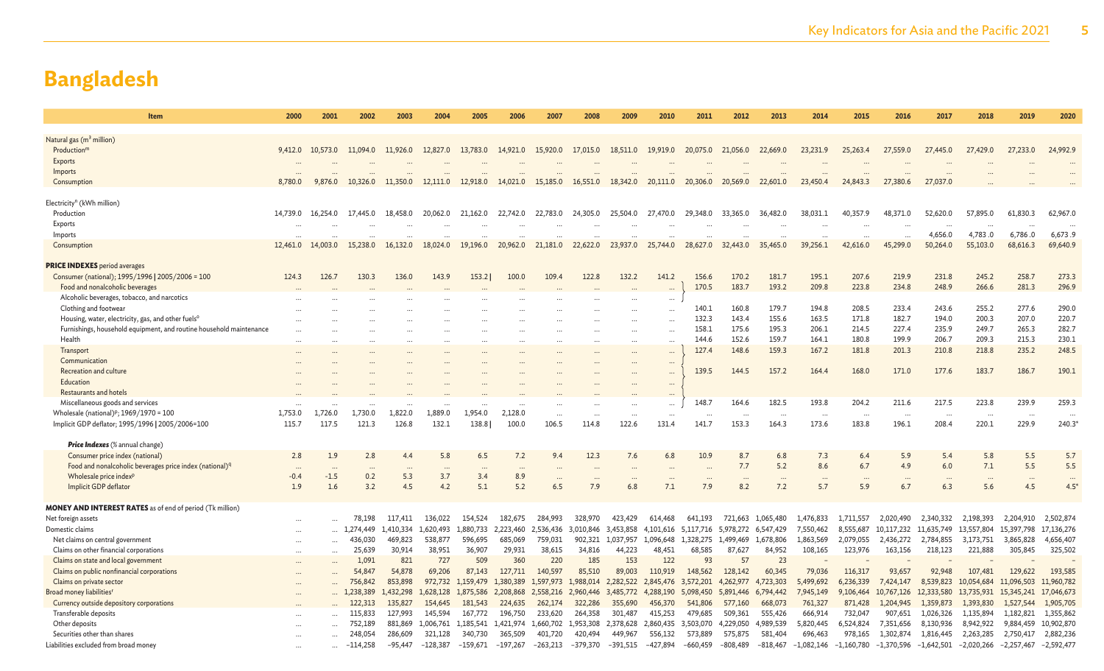| Item                                                                          | 2000     | 2001                 | 2002       | 2003      | 2004       | 2005       | 2006       | 2007              | 2008                 | 2009              | 2010              | 2011              | 2012              | 2013       | 2014              | 2015              | 2016         | 2017         | 2018         | 2019              | 2020                     |
|-------------------------------------------------------------------------------|----------|----------------------|------------|-----------|------------|------------|------------|-------------------|----------------------|-------------------|-------------------|-------------------|-------------------|------------|-------------------|-------------------|--------------|--------------|--------------|-------------------|--------------------------|
| Natural gas (m <sup>3</sup> million)                                          |          |                      |            |           |            |            |            |                   |                      |                   |                   |                   |                   |            |                   |                   |              |              |              |                   |                          |
| Production <sup>m</sup>                                                       | 9,412.0  | 10,573.0             | 11.094.0   | 11,926.0  | 12,827.0   | 13,783.0   | 14,921.0   | 15,920.0          | 17,015.0             | 18,511.0          | 19,919.0          | 20,075.0          | 21,056.0          | 22,669.0   | 23,231.9          | 25,263.4          | 27,559.0     | 27,445.0     | 27,429.0     | 27,233.0          | 24,992.9                 |
| Exports                                                                       |          |                      |            |           |            |            |            |                   |                      |                   |                   |                   |                   |            |                   |                   |              |              |              |                   |                          |
| Imports                                                                       |          |                      |            |           |            |            |            |                   |                      |                   |                   |                   |                   |            |                   |                   |              |              |              |                   |                          |
| Consumption                                                                   | 8,780.0  | 9,876.0              | 10.326.0   | 11,350.0  | 12,111.0   | 12,918.0   | 14,021.0   | 15,185.0          | 16,551.0             | 18,342.0          | 20,111.0          | 20,306.0          | 20,569.0          | 22,601.0   | 23,450.4          | 24,843.3          | 27,380.6     | 27,037.0     |              |                   |                          |
|                                                                               |          |                      |            |           |            |            |            |                   |                      |                   |                   |                   |                   |            |                   |                   |              |              |              |                   |                          |
| Electricity <sup>n</sup> (kWh million)                                        |          |                      |            |           |            |            |            |                   |                      |                   |                   |                   |                   |            |                   |                   |              |              |              |                   |                          |
| Production                                                                    | 14,739.0 | 16,254.0             | 17,445.0   | 18,458.0  | 20,062.0   | 21,162.0   | 22,742.0   | 22,783.0          | 24,305.0             | 25,504.0          | 27,470.0          | 29,348.0          | 33,365.0          | 36,482.0   | 38,031.1          | 40,357.9          | 48,371.0     | 52,620.0     | 57,895.0     | 61,830.3          | 62,967.0                 |
| Exports                                                                       |          |                      |            |           |            |            |            |                   |                      |                   |                   |                   |                   |            |                   |                   |              |              |              |                   |                          |
| Imports                                                                       |          |                      |            |           |            |            |            |                   |                      |                   |                   |                   |                   |            |                   |                   |              | 4,656.0      | 4,783.0      | 6,786.0           | 6,673.9                  |
| Consumption                                                                   | 12,461.0 | 14,003.0             | 15,238.0   | 16.132.0  | 18,024.0   | 19,196.0   | 20,962.0   | 21,181.0          | 22,622.0             | 23,937.0          | 25,744.0          | 28,627.0          | 32,443.0          | 35,465.0   | 39,256.1          | 42,616.0          | 45,299.0     | 50,264.0     | 55,103.0     | 68,616.3          | 69,640.9                 |
|                                                                               |          |                      |            |           |            |            |            |                   |                      |                   |                   |                   |                   |            |                   |                   |              |              |              |                   |                          |
| <b>PRICE INDEXES</b> period averages                                          |          |                      |            |           |            |            |            |                   |                      |                   |                   |                   |                   |            |                   |                   |              |              |              |                   |                          |
| Consumer (national); 1995/1996   2005/2006 = 100                              | 124.3    | 126.7                | 130.3      | 136.0     | 143.9      | 153.2      | 100.0      | 109.4             | 122.8                | 132.2             | 141.2             | 156.6             | 170.2             | 181.7      | 195.1             | 207.6             | 219.9        | 231.8        | 245.2        | 258.7             | 273.3                    |
| Food and nonalcoholic beverages                                               |          |                      |            |           |            |            |            |                   |                      |                   | $\ddots$          | 170.5             | 183.7             | 193.2      | 209.8             | 223.8             | 234.8        | 248.9        | 266.6        | 281.3             | 296.9                    |
| Alcoholic beverages, tobacco, and narcotics                                   |          |                      |            |           |            |            |            |                   |                      |                   | $\cdots$          | 140.1             | 160.8             | 179.7      | 194.8             | 208.5             | 233.4        | 243.6        | 255.2        | 277.6             | 290.0                    |
| Clothing and footwear                                                         |          |                      |            |           |            |            |            |                   |                      |                   | $\ddots$          | 132.3             | 143.4             | 155.6      |                   | 171.8             | 182.7        |              | 200.3        | 207.0             | 220.7                    |
| Housing, water, electricity, gas, and other fuels <sup>o</sup>                |          |                      |            |           |            |            |            |                   |                      |                   |                   |                   | 175.6             |            | 163.5             |                   |              | 194.0        |              |                   | 282.7                    |
| Furnishings, household equipment, and routine household maintenance<br>Health |          |                      |            |           |            |            |            |                   |                      |                   | $\ddots$          | 158.1             |                   | 195.3      | 206.1             | 214.5             | 227.4        | 235.9        | 249.7        | 265.3             |                          |
|                                                                               |          |                      |            |           |            |            | $\cdots$   |                   |                      | $\ddotsc$         | $\ddotsc$         | 144.6             | 152.6             | 159.7      | 164.1             | 180.8             | 199.9        | 206.7        | 209.3        | 215.3             | 230.1                    |
| Transport<br>Communication                                                    |          |                      |            |           |            |            |            |                   |                      |                   | $\cdots$          | 127.4             | 148.6             | 159.3      | 167.2             | 181.8             | 201.3        | 210.8        | 218.8        | 235.2             | 248.5                    |
|                                                                               |          |                      |            |           |            |            |            |                   |                      |                   | $\cdots$          |                   | 144.5             | 157.2      |                   | 168.0             |              | 177.6        |              | 186.7             | 190.1                    |
| Recreation and culture<br>Education                                           |          |                      |            |           |            |            |            |                   |                      |                   |                   | 139.5             |                   |            | 164.4             |                   | 171.0        |              | 183.7        |                   |                          |
| Restaurants and hotels                                                        |          |                      |            |           |            |            |            |                   |                      |                   |                   |                   |                   |            |                   |                   |              |              |              |                   |                          |
| Miscellaneous goods and services                                              |          |                      |            |           |            |            |            |                   |                      |                   |                   | 148.7             | 164.6             | 182.5      | 193.8             | 204.2             | 211.6        | 217.5        | 223.8        | 239.9             | 259.3                    |
| Wholesale (national) <sup>p</sup> ; 1969/1970 = 100                           | 1,753.0  | 1,726.0              | 1,730.0    | 1,822.0   | 1,889.0    | 1,954.0    | 2,128.0    |                   |                      |                   |                   |                   |                   |            |                   |                   |              |              |              |                   |                          |
| Implicit GDP deflator; 1995/1996   2005/2006=100                              | 115.7    | 117.5                | 121.3      | 126.8     | 132.1      | 138.8      | 100.0      | $\cdots$<br>106.5 | <br>114.8            | $\cdots$<br>122.6 | $\cdots$<br>131.4 | $\cdots$<br>141.7 | $\cdots$<br>153.3 | <br>164.3  | $\cdots$<br>173.6 | $\cdots$<br>183.8 | <br>196.1    | <br>208.4    | <br>220.1    | $\cdots$<br>229.9 | <br>240.3                |
|                                                                               |          |                      |            |           |            |            |            |                   |                      |                   |                   |                   |                   |            |                   |                   |              |              |              |                   |                          |
| <b>Price Indexes</b> (% annual change)                                        |          |                      |            |           |            |            |            |                   |                      |                   |                   |                   |                   |            |                   |                   |              |              |              |                   |                          |
| Consumer price index (national)                                               | 2.8      | 1.9                  | 2.8        | 4.4       | 5.8        | 6.5        | 7.2        | 9.4               | 12.3                 | 7.6               | 6.8               | 10.9              | 8.7               | 6.8        | 7.3               | 6.4               | 5.9          | 5.4          | 5.8          | 5.5               | 5.7                      |
| Food and nonalcoholic beverages price index (national) <sup>q</sup>           | $\ddots$ | $\ddot{\phantom{a}}$ | $\ddotsc$  | $\cdots$  | $\cdot$    |            | $\cdots$   |                   | $\ddot{\phantom{a}}$ | $\ddotsc$         | $\ddotsc$         |                   | 7.7               | 5.2        | 8.6               | 6.7               | 4.9          | 6.0          | 7.1          | 5.5               | 5.5                      |
| Wholesale price index <sup>p</sup>                                            | $-0.4$   | $-1.5$               | 0.2        | 5.3       | 3.7        | 3.4        | 8.9        | $\ddots$          | $\ddotsc$            | $\ddotsc$         | $\cdots$          | $\cdots$          | $\ddotsc$         | $\ddotsc$  | $\cdots$          | $\ddotsc$         |              | $\cdots$     | $\ddots$     | $\cdots$          | $\overline{\phantom{a}}$ |
| Implicit GDP deflator                                                         | 1.9      | 1.6                  | 3.2        | 4.5       | 4.2        | 5.1        | 5.2        | 6.5               | 7.9                  | 6.8               | 7.1               | 7.9               | 8.2               | 7.2        | 5.7               | 5.9               | 6.7          | 6.3          | 5.6          | 4.5               | $4.5*$                   |
| <b>MONEY AND INTEREST RATES</b> as of end of period (Tk million)              |          |                      |            |           |            |            |            |                   |                      |                   |                   |                   |                   |            |                   |                   |              |              |              |                   |                          |
| Net foreign assets                                                            | $\cdots$ |                      | 78,198     | 117,411   | 136,022    | 154,524    | 182,675    | 284,993           | 328,970              | 423,429           | 614,468           | 641,193           | 721,663           | 1,065,480  | 1,476,833         | 1,711,557         | 2,020,490    | 2,340,332    | 2,198,393    | 2,204,910         | 2,502,874                |
| Domestic claims                                                               | $\cdots$ |                      | 1.274.449  | 1,410,334 | 1,620,493  | 1,880,733  | 2,223,460  | 2,536,436         | 3,010,846            | 3,453,858         | 4,101,616         | 5,117,716         | 5,978,272         | 6,547,429  | 7,550,462         | 8,555,687         | 10,117,232   | 11.635.749   | 13,557,804   | 15,397,798        | 17,136,276               |
| Net claims on central government                                              | $\cdots$ | $\cdots$             | 436,030    | 469,823   | 538,877    | 596,695    | 685,069    | 759,031           | 902,321              | 1,037,957         | 1,096,648         | 1,328,275         | 1,499,469         | 1,678,806  | 1,863,569         | 2,079,055         | 2,436,272    | 2,784,855    | 3,173,751    | 3,865,828         | 4,656,407                |
| Claims on other financial corporations                                        | $\cdots$ | $\cdots$             | 25,639     | 30,914    | 38,951     | 36,907     | 29,931     | 38,615            | 34,816               | 44,223            | 48,451            | 68,585            | 87,627            | 84,952     | 108,165           | 123,976           | 163,156      | 218,123      | 221,888      | 305,845           | 325,502                  |
| Claims on state and local government                                          | $\cdots$ | $\cdots$             | 1,091      | 821       | 727        | 509        | 360        | 220               | 185                  | 153               | 122               | 93                | 57                | 23         |                   |                   |              |              |              |                   |                          |
| Claims on public nonfinancial corporations                                    |          |                      | 54,847     | 54,878    | 69,206     | 87,143     | 127,711    | 140,597           | 85,510               | 89,003            | 110,919           | 148,562           | 128,142           | 60,345     | 79,036            | 116,317           | 93,657       | 92,948       | 107,481      | 129,622           | 193,585                  |
| Claims on private sector                                                      |          |                      | 756,842    | 853.898   | 972,732    | 1.159.479  | 1.380.389  | 1.597.973         | 1.988.014            | 2,282,522         | 2.845,476         | 3.572.201         | 4,262,977         | 4,723,303  | 5,499,692         | 6,236,339         | 7.424.147    | 8.539.823    | 10.054.684   | 11,096,503        | 11,960,782               |
| Broad money liabilities'                                                      |          | $\cdots$             | 1.238.389  | .432.298  | 1.628.128  | 1,875,586  | 2.208.868  | 2.558.216         | 2.960,446            | 3,485,772         | 4,288,190         | 5.098.450         | 5,891,446         | 6,794,442  | 7,945,149         | 9,106,464         | 10.767.126   | 12.333.580   | 13.735.931   | 15,345,241        | 17,046,673               |
| Currency outside depository corporations                                      |          |                      | 122,313    | 135,827   | 154,645    | 181,543    | 224,635    | 262,174           | 322,286              | 355,690           | 456,370           | 541,806           | 577,160           | 668,073    | 761,327           | 871,428           | 1,204,945    | 1,359,873    | 1,393,830    | 1,527,544         | 1,905,705                |
| Transferable deposits                                                         |          | $\cdots$             | 115,833    | 127,993   | 145,594    | 167,772    | 196,750    | 233,620           | 264,358              | 301,487           | 415,253           | 479,685           | 509,361           | 555,426    | 666,914           | 732,047           | 907,651      | 1,026,326    | 1,135,894    | 1,182,821         | 1,355,862                |
| Other deposits                                                                |          |                      | 752,189    | 881,869   | 1,006,761  | 1,185,541  | 1,421,974  | 1,660,702         | 1,953,308            | 2,378,628         | 2,860,435         | 3,503,070         | 4,229,050         | 4,989,539  | 5,820,445         | 6,524,824         | 7,351,656    | 8,130,936    | 8,942,922    | 9,884,459         | 10,902,870               |
| Securities other than shares                                                  |          |                      | 248,054    | 286,609   | 321,128    | 340.730    | 365,509    | 401,720           | 420,494              | 449,967           | 556,132           | 573,889           | 575,875           | 581,404    | 696,463           | 978,165           | 1,302,874    | 1,816,445    | 2,263,285    | 2,750,417         | 2,882,236                |
| Liabilities excluded from broad money                                         |          |                      | $-114,258$ | $-95,447$ | $-128,387$ | $-159,671$ | $-197,267$ | $-263,213$        | $-379,370$           | $-391,515$        | $-427,894$        | $-660,459$        | $-808,489$        | $-818,467$ | $-1,082,146$      | $-1,160,780$      | $-1,370,596$ | $-1,642,501$ | $-2,020,266$ | $-2,257,467$      | $-2,592,47$              |
|                                                                               |          |                      |            |           |            |            |            |                   |                      |                   |                   |                   |                   |            |                   |                   |              |              |              |                   |                          |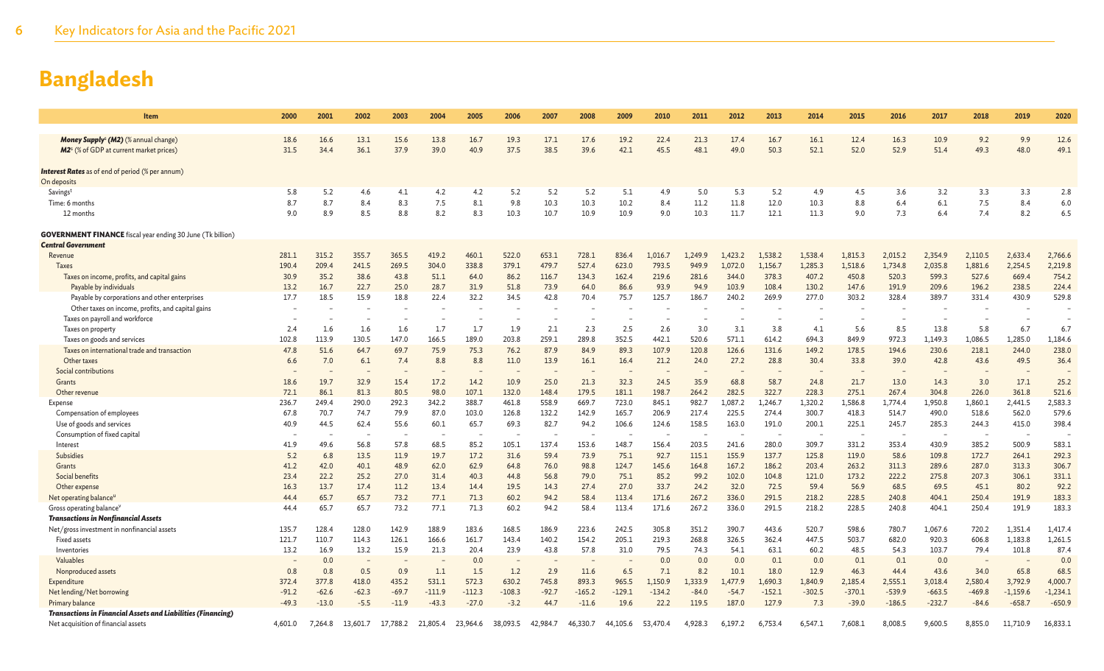| <b>Item</b>                                                                                         | 2000    | 2001    | 2002     | 2003     | 2004     | 2005     | 2006                     | 2007     | 2008     | 2009     | 2010     | 2011    | 2012    | 2013     | 2014     | 2015     | 2016     | 2017     | 2018     | 2019       | 2020       |
|-----------------------------------------------------------------------------------------------------|---------|---------|----------|----------|----------|----------|--------------------------|----------|----------|----------|----------|---------|---------|----------|----------|----------|----------|----------|----------|------------|------------|
| Money Supply <sup>s</sup> (M2) (% annual change)                                                    | 18.6    | 16.6    | 13.1     | 15.6     | 13.8     | 16.7     | 19.3                     | 17.1     | 17.6     | 19.2     | 22.4     | 21.3    | 17.4    | 16.7     | 16.1     | 12.4     | 16.3     | 10.9     | 9.2      | 9.9        | 12.6       |
| M2 <sup>s</sup> (% of GDP at current market prices)                                                 | 31.5    | 34.4    | 36.1     | 37.9     | 39.0     | 40.9     | 37.5                     | 38.5     | 39.6     | 42.1     | 45.5     | 48.1    | 49.0    | 50.3     | 52.1     | 52.0     | 52.9     | 51.4     | 49.3     | 48.0       | 49.1       |
|                                                                                                     |         |         |          |          |          |          |                          |          |          |          |          |         |         |          |          |          |          |          |          |            |            |
| <b>Interest Rates</b> as of end of period (% per annum)                                             |         |         |          |          |          |          |                          |          |          |          |          |         |         |          |          |          |          |          |          |            |            |
| On deposits                                                                                         |         |         |          |          |          |          |                          |          |          |          |          |         |         |          |          |          |          |          |          |            |            |
| Savingst                                                                                            | 5.8     | 5.2     | 4.6      | 4.1      | 4.2      | 4.2      | 5.2                      | 5.2      | 5.2      | 5.1      | 4.9      | 5.0     | 5.3     | 5.2      | 4.9      | 4.5      | 3.6      | 3.2      | 3.3      | 3.3        | 2.8        |
| Time: 6 months                                                                                      | 8.7     | 8.7     | 8.4      | 8.3      | 7.5      | 8.1      | 9.8                      | 10.3     | 10.3     | 10.2     | 8.4      | 11.2    | 11.8    | 12.0     | 10.3     | 8.8      | 6.4      | 6.1      | 7.5      | 8.4        | 6.0        |
| 12 months                                                                                           | 9.0     | 8.9     | 8.5      | 8.8      | 8.2      | 8.3      | 10.3                     | 10.7     | 10.9     | 10.9     | 9.0      | 10.3    | 11.7    | 12.1     | 11.3     | 9.0      | 7.3      | 6.4      | 7.4      | 8.2        | 6.5        |
| <b>GOVERNMENT FINANCE</b> fiscal year ending 30 June (Tk billion)                                   |         |         |          |          |          |          |                          |          |          |          |          |         |         |          |          |          |          |          |          |            |            |
| <b>Central Government</b>                                                                           |         |         |          |          |          |          |                          |          |          |          |          |         |         |          |          |          |          |          |          |            |            |
| Revenue                                                                                             | 281.1   | 315.2   | 355.7    | 365.5    | 419.2    | 460.1    | 522.0                    | 653.1    | 728.1    | 836.4    | 1,016.7  | 1,249.9 | 1,423.2 | 1,538.2  | 1,538.4  | 1,815.3  | 2,015.2  | 2,354.9  | 2,110.5  | 2,633.4    | 2,766.6    |
| Taxes                                                                                               | 190.4   | 209.4   | 241.5    | 269.5    | 304.0    | 338.8    | 379.1                    | 479.7    | 527.4    | 623.0    | 793.5    | 949.9   | 1.072.0 | 1,156.7  | 1,285.3  | 1,518.6  | 1,734.8  | 2,035.8  | 1,881.6  | 2,254.5    | 2,219.8    |
| Taxes on income, profits, and capital gains                                                         | 30.9    | 35.2    | 38.6     | 43.8     | 51.1     | 64.0     | 86.2                     | 116.7    | 134.3    | 162.4    | 219.6    | 281.6   | 344.0   | 378.3    | 407.2    | 450.8    | 520.3    | 599.3    | 527.6    | 669.4      | 754.2      |
| Payable by individuals                                                                              | 13.2    | 16.7    | 22.7     | 25.0     | 28.7     | 31.9     | 51.8                     | 73.9     | 64.0     | 86.6     | 93.9     | 94.9    | 103.9   | 108.4    | 130.2    | 147.6    | 191.9    | 209.6    | 196.2    | 238.5      | 224.4      |
| Payable by corporations and other enterprises                                                       | 17.7    | 18.5    | 15.9     | 18.8     | 22.4     | 32.2     | 34.5                     | 42.8     | 70.4     | 75.7     | 125.7    | 186.7   | 240.2   | 269.9    | 277.0    | 303.2    | 328.4    | 389.7    | 331.4    | 430.9      | 529.8      |
| Other taxes on income, profits, and capital gains                                                   |         |         |          |          |          |          |                          |          |          |          |          |         |         |          |          |          |          |          |          |            |            |
| Taxes on payroll and workforce                                                                      |         |         |          |          |          |          |                          |          |          |          |          |         |         |          |          |          |          |          |          |            |            |
| Taxes on property                                                                                   | 2.4     | 1.6     | 1.6      | 1.6      | 1.7      | 1.7      | 1.9                      | 2.1      | 2.3      | 2.5      | 2.6      | 3.0     | 3.1     | 3.8      | 4.1      | 5.6      | 8.5      | 13.8     | 5.8      | 6.7        | 6.7        |
| Taxes on goods and services                                                                         | 102.8   | 113.9   | 130.5    | 147.0    | 166.5    | 189.0    | 203.8                    | 259.1    | 289.8    | 352.5    | 442.1    | 520.6   | 571.1   | 614.2    | 694.3    | 849.9    | 972.3    | 1.149.3  | 1.086.5  | 1,285.0    | 1,184.6    |
| Taxes on international trade and transaction                                                        | 47.8    | 51.6    | 64.7     | 69.7     | 75.9     | 75.3     | 76.2                     | 87.9     | 84.9     | 89.3     | 107.9    | 120.8   | 126.6   | 131.6    | 149.2    | 178.5    | 194.6    | 230.6    | 218.1    | 244.0      | 238.0      |
| Other taxes                                                                                         | 6.6     | 7.0     | 6.1      | 7.4      | 8.8      | 8.8      | 11.0                     | 13.9     | 16.1     | 16.4     | 21.2     | 24.0    | 27.2    | 28.8     | 30.4     | 33.8     | 39.0     | 42.8     | 43.6     | 49.5       | 36.4       |
| Social contributions<br>Grants                                                                      | 18.6    | 19.7    | 32.9     | 15.4     | 17.2     | 14.2     | 10.9                     | 25.0     | 21.3     | 32.3     | 24.5     | 35.9    | 68.8    | 58.7     | 24.8     | 21.7     | 13.0     | 14.3     | 3.0      | 17.1       | 25.2       |
| Other revenue                                                                                       | 72.1    | 86.1    | 81.3     | 80.5     | 98.0     | 107.1    | 132.0                    | 148.4    | 179.5    | 181.1    | 198.7    | 264.2   | 282.5   | 322.7    | 228.3    | 275.1    | 267.4    | 304.8    | 226.0    | 361.8      | 521.6      |
| Expense                                                                                             | 236.7   | 249.4   | 290.0    | 292.3    | 342.2    | 388.7    | 461.8                    | 558.9    | 669.7    | 723.0    | 845.1    | 982.7   | 1,087.2 | 1.246.7  | 1,320.2  | 1.586.8  | 1.774.4  | 1,950.8  | 1,860.1  | 2,441.5    | 2,583.3    |
| Compensation of employees                                                                           | 67.8    | 70.7    | 74.7     | 79.9     | 87.0     | 103.0    | 126.8                    | 132.2    | 142.9    | 165.7    | 206.9    | 217.4   | 225.5   | 274.4    | 300.7    | 418.3    | 514.7    | 490.0    | 518.6    | 562.0      | 579.6      |
| Use of goods and services                                                                           | 40.9    | 44.5    | 62.4     | 55.6     | 60.1     | 65.7     | 69.3                     | 82.7     | 94.2     | 106.6    | 124.6    | 158.5   | 163.0   | 191.0    | 200.1    | 225.1    | 245.7    | 285.3    | 244.3    | 415.0      | 398.4      |
| Consumption of fixed capital                                                                        |         |         |          |          |          |          |                          |          |          |          |          |         |         |          |          |          |          |          |          |            |            |
| Interest                                                                                            | 41.9    | 49.6    | 56.8     | 57.8     | 68.5     | 85.2     | 105.1                    | 137.4    | 153.6    | 148.7    | 156.4    | 203.5   | 241.6   | 280.0    | 309.7    | 331.2    | 353.4    | 430.9    | 385.2    | 500.9      | 583.1      |
| Subsidies                                                                                           | 5.2     | 6.8     | 13.5     | 11.9     | 19.7     | 17.2     | 31.6                     | 59.4     | 73.9     | 75.1     | 92.7     | 115.1   | 155.9   | 137.7    | 125.8    | 119.0    | 58.6     | 109.8    | 172.7    | 264.1      | 292.3      |
| Grants                                                                                              | 41.2    | 42.0    | 40.1     | 48.9     | 62.0     | 62.9     | 64.8                     | 76.0     | 98.8     | 124.7    | 145.6    | 164.8   | 167.2   | 186.2    | 203.4    | 263.2    | 311.3    | 289.6    | 287.0    | 313.3      | 306.7      |
| Social benefits                                                                                     | 23.4    | 22.2    | 25.2     | 27.0     | 31.4     | 40.3     | 44.8                     | 56.8     | 79.0     | 75.1     | 85.2     | 99.2    | 102.0   | 104.8    | 121.0    | 173.2    | 222.2    | 275.8    | 207.3    | 306.1      | 331.1      |
| Other expense                                                                                       | 16.3    | 13.7    | 17.4     | 11.2     | 13.4     | 14.4     | 19.5                     | 14.3     | 27.4     | 27.0     | 33.7     | 24.2    | 32.0    | 72.5     | 59.4     | 56.9     | 68.5     | 69.5     | 45.1     | 80.2       | 92.2       |
| Net operating balance <sup>u</sup>                                                                  | 44.4    | 65.7    | 65.7     | 73.2     | 77.1     | 71.3     | 60.2                     | 94.2     | 58.4     | 113.4    | 171.6    | 267.2   | 336.0   | 291.5    | 218.2    | 228.5    | 240.8    | 404.1    | 250.4    | 191.9      | 183.3      |
| Gross operating balance <sup>v</sup>                                                                | 44.4    | 65.7    | 65.7     | 73.2     | 77.1     | 71.3     | 60.2                     | 94.2     | 58.4     | 113.4    | 171.6    | 267.2   | 336.0   | 291.5    | 218.2    | 228.5    | 240.8    | 404.1    | 250.4    | 191.9      | 183.3      |
| <b>Transactions in Nonfinancial Assets</b>                                                          |         |         |          |          |          |          |                          |          |          |          |          |         |         |          |          |          |          |          |          |            |            |
| Net/gross investment in nonfinancial assets                                                         | 135.7   | 128.4   | 128.0    | 142.9    | 188.9    | 183.6    | 168.5                    | 186.9    | 223.6    | 242.5    | 305.8    | 351.2   | 390.7   | 443.6    | 520.7    | 598.6    | 780.7    | 1,067.6  | 720.2    | 1,351.4    | 1,417.4    |
| Fixed assets                                                                                        | 121.7   | 110.7   | 114.3    | 126.1    | 166.6    | 161.7    | 143.4                    | 140.2    | 154.2    | 205.1    | 219.3    | 268.8   | 326.5   | 362.4    | 447.5    | 503.7    | 682.0    | 920.3    | 606.8    | 1,183.8    | 1,261.5    |
| Inventories                                                                                         | 13.2    | 16.9    | 13.2     | 15.9     | 21.3     | 20.4     | 23.9                     | 43.8     | 57.8     | 31.0     | 79.5     | 74.3    | 54.1    | 63.1     | 60.2     | 48.5     | 54.3     | 103.7    | 79.4     | 101.8      | 87.4       |
| Valuables                                                                                           |         | 0.0     |          |          |          | 0.0      | $\overline{\phantom{a}}$ |          |          |          | 0.0      | 0.0     | 0.0     | 0.1      | 0.0      | 0.1      | 0.1      | 0.0      |          |            | 0.0        |
| Nonproduced assets                                                                                  | 0.8     | 0.8     | 0.5      | 0.9      | 1.1      | 1.5      | 1.2                      | 2.9      | 11.6     | 6.5      | 7.1      | 8.2     | 10.1    | 18.0     | 12.9     | 46.3     | 44.4     | 43.6     | 34.0     | 65.8       | 68.5       |
| Expenditure                                                                                         | 372.4   | 377.8   | 418.0    | 435.2    | 531.1    | 572.3    | 630.2                    | 745.8    | 893.3    | 965.5    | 1,150.9  | 1,333.9 | 1,477.9 | 1,690.3  | 1,840.9  | 2,185.4  | 2,555.1  | 3,018.4  | 2,580.4  | 3,792.9    | 4,000.7    |
| Net lending/Net borrowing                                                                           | $-91.2$ | $-62.6$ | $-62.3$  | $-69.7$  | $-111.9$ | $-112.3$ | $-108.3$                 | $-92.7$  | $-165.2$ | $-129.1$ | $-134.2$ | $-84.0$ | $-54.7$ | $-152.1$ | $-302.5$ | $-370.1$ | $-539.9$ | $-663.5$ | $-469.8$ | $-1,159.6$ | $-1,234.1$ |
| Primary balance                                                                                     | $-49.3$ | $-13.0$ | $-5.5$   | $-11.9$  | $-43.3$  | $-27.0$  | $-3.2$                   | 44.7     | $-11.6$  | 19.6     | 22.2     | 119.5   | 187.0   | 127.9    | 7.3      | $-39.0$  | $-186.5$ | $-232.7$ | $-84.6$  | $-658.7$   | $-650.9$   |
| Transactions in Financial Assets and Liabilities (Financing)<br>Net acquisition of financial assets | 4,601.0 | 7,264.8 | 13,601.7 | 17,788.2 | 21,805.4 | 23,964.6 | 38,093.5                 | 42,984.7 | 46,330.7 | 44,105.6 | 53,470.4 | 4,928.3 | 6,197.2 | 6,753.4  | 6,547.1  | 7,608.1  | 8,008.5  | 9,600.5  | 8,855.0  | 11,710.9   | 16,833.1   |
|                                                                                                     |         |         |          |          |          |          |                          |          |          |          |          |         |         |          |          |          |          |          |          |            |            |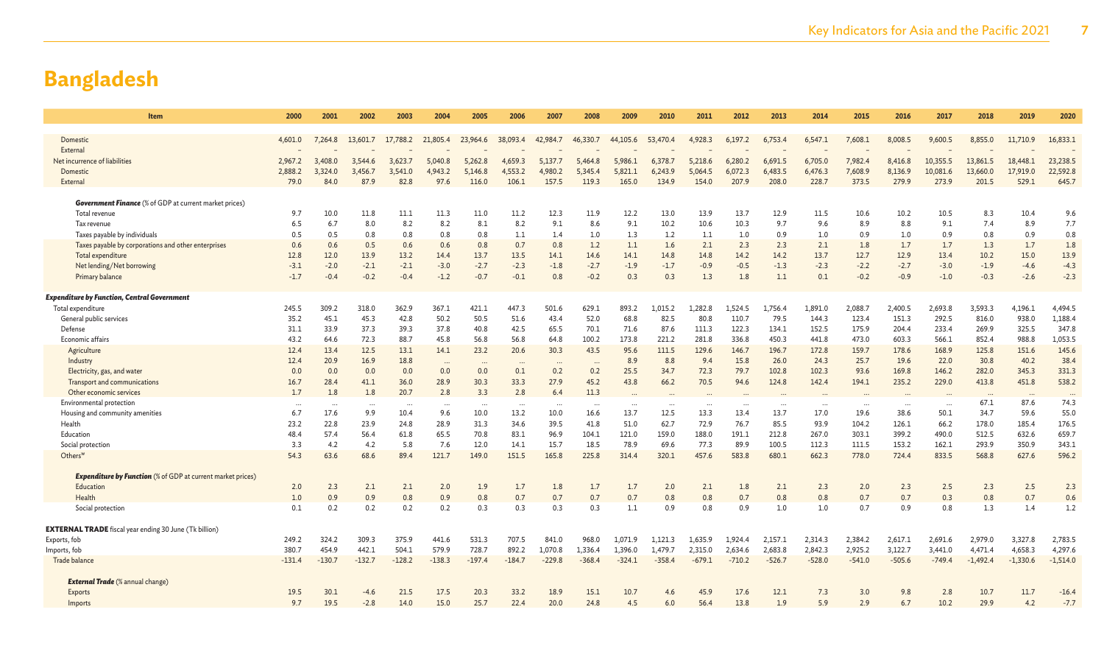| Item                                                                          | 2000               | 2001               | 2002               | 2003               | 2004               | 2005               | 2006               | 2007               | 2008               | 2009               | 2010               | 2011               | 2012               | 2013               | 2014               | 2015               | 2016               | 2017                 | 2018                 | 2019                 | 2020                 |
|-------------------------------------------------------------------------------|--------------------|--------------------|--------------------|--------------------|--------------------|--------------------|--------------------|--------------------|--------------------|--------------------|--------------------|--------------------|--------------------|--------------------|--------------------|--------------------|--------------------|----------------------|----------------------|----------------------|----------------------|
|                                                                               |                    |                    |                    |                    |                    |                    |                    |                    |                    |                    |                    |                    |                    |                    |                    |                    |                    |                      |                      |                      |                      |
| Domestic                                                                      | 4,601.0            | 7.264.8            | 13,601.7           | 17,788.2           | 21,805.4           | 23,964.6           | 38,093.4           | 42,984.7           | 46,330.7           | 44,105.6           | 53,470.4           | 4.928.3            | 6,197.2            | 6.753.4            | 6.547.1            | 7,608.1            | 8.008.5            | 9,600.5              | 8,855.0              | 11,710.9             | 16,833.1             |
| External                                                                      |                    |                    |                    |                    |                    |                    |                    |                    |                    |                    |                    |                    |                    |                    |                    |                    |                    |                      |                      |                      |                      |
| Net incurrence of liabilities<br>Domestic                                     | 2,967.2<br>2.888.2 | 3,408.0<br>3.324.0 | 3,544.6<br>3,456.7 | 3,623.7<br>3,541.0 | 5,040.8<br>4,943.2 | 5,262.8<br>5,146.8 | 4,659.3<br>4,553.2 | 5,137.7<br>4,980.2 | 5,464.8<br>5,345.4 | 5,986.1<br>5,821.1 | 6,378.7<br>6,243.9 | 5,218.6<br>5,064.5 | 6,280.2<br>6,072.3 | 6.691.5<br>6,483.5 | 6,705.0<br>6,476.3 | 7,982.4<br>7,608.9 | 8,416.8<br>8,136.9 | 10,355.5<br>10,081.6 | 13,861.5<br>13,660.0 | 18,448.1<br>17,919.0 | 23,238.5<br>22,592.8 |
| External                                                                      | 79.0               | 84.0               | 87.9               | 82.8               | 97.6               | 116.0              | 106.1              | 157.5              | 119.3              | 165.0              | 134.9              | 154.0              | 207.9              | 208.0              | 228.7              | 373.5              | 279.9              | 273.9                | 201.5                | 529.1                | 645.                 |
|                                                                               |                    |                    |                    |                    |                    |                    |                    |                    |                    |                    |                    |                    |                    |                    |                    |                    |                    |                      |                      |                      |                      |
| <b>Government Finance</b> (% of GDP at current market prices)                 |                    |                    |                    |                    |                    |                    |                    |                    |                    |                    |                    |                    |                    |                    |                    |                    |                    |                      |                      |                      |                      |
| Total revenue                                                                 | 9.7                | 10.0               | 11.8               | 11.1               | 11.3               | 11.0               | 11.2               | 12.3               | 11.9               | 12.2               | 13.0               | 13.9               | 13.7               | 12.9               | 11.5               | 10.6               | 10.2               | 10.5                 | 8.3                  | 10.4                 | 9.6                  |
| Tax revenue                                                                   | 6.5                | 6.7                | 8.0                | 8.2                | 8.2                | 8.1                | 8.2                | 9.1                | 8.6                | 9.1                | 10.2               | 10.6               | 10.3               | 9.7                | 9.6                | 8.9                | 8.8                | 9.1                  | 7.4                  | 8.9                  | 7.7                  |
| Taxes payable by individuals                                                  | 0.5                | 0.5                | 0.8                | 0.8                | 0.8                | 0.8                | 1.1                | 1.4                | 1.0                | 1.3                | 1.2                | 1.1                | 1.0                | 0.9                | 1.0                | 0.9                | 1.0                | 0.9                  | 0.8                  | 0.9                  | 0.8                  |
| Taxes payable by corporations and other enterprises                           | 0.6                | 0.6                | 0.5                | 0.6                | 0.6                | 0.8                | 0.7                | 0.8                | 1.2                | 1.1                | 1.6                | 2.1                | 2.3                | 2.3                | 2.1                | 1.8                | 1.7                | 1.7                  | 1.3                  | 1.7                  | 1.8                  |
| Total expenditure                                                             | 12.8               | 12.0               | 13.9               | 13.2               | 14.4               | 13.7               | 13.5               | 14.1               | 14.6               | 14.1               | 14.8               | 14.8               | 14.2               | 14.2               | 13.7               | 12.7               | 12.9               | 13.4                 | 10.2                 | 15.0                 | 13.9                 |
| Net lending/Net borrowing                                                     | $-3.1$             | $-2.0$             | $-2.1$             | $-2.1$             | $-3.0$             | $-2.7$             | $-2.3$             | $-1.8$             | $-2.7$             | $-1.9$             | $-1.7$             | $-0.9$             | $-0.5$             | $-1.3$             | $-2.3$             | $-2.2$             | $-2.7$             | $-3.0$               | $-1.9$               | $-4.6$               | $-4.3$               |
| Primary balance                                                               | $-1.7$             | $-0.4$             | $-0.2$             | $-0.4$             | $-1.2$             | $-0.7$             | $-0.1$             | 0.8                | $-0.2$             | 0.3                | 0.3                | 1.3                | 1.8                | 1.1                | 0.1                | $-0.2$             | $-0.9$             | $-1.0$               | $-0.3$               | $-2.6$               | $-2.3$               |
| <b>Expenditure by Function, Central Government</b>                            |                    |                    |                    |                    |                    |                    |                    |                    |                    |                    |                    |                    |                    |                    |                    |                    |                    |                      |                      |                      |                      |
| Total expenditure                                                             | 245.5              | 309.2              | 318.0              | 362.9              | 367.1              | 421.1              | 447.3              | 501.6              | 629.1              | 893.2              | 1.015.2            | 1.282.8            | 1.524.5            | 1,756.4            | 1.891.0            | 2,088.7            | 2,400.5            | 2.693.8              | 3.593.3              | 4.196.1              | 4,494.5              |
| General public services                                                       | 35.2               | 45.1               | 45.3               | 42.8               | 50.2               | 50.5               | 51.6               | 43.4               | 52.0               | 68.8               | 82.5               | 80.8               | 110.7              | 79.5               | 144.3              | 123.4              | 151.3              | 292.5                | 816.0                | 938.0                | 1,188.4              |
| Defense                                                                       | 31.1               | 33.9               | 37.3               | 39.3               | 37.8               | 40.8               | 42.5               | 65.5               | 70.1               | 71.6               | 87.6               | 111.3              | 122.3              | 134.1              | 152.5              | 175.9              | 204.4              | 233.4                | 269.9                | 325.5                | 347.8                |
| Economic affairs                                                              | 43.2               | 64.6               | 72.3               | 88.7               | 45.8               | 56.8               | 56.8               | 64.8               | 100.2              | 173.8              | 221.2              | 281.8              | 336.8              | 450.3              | 441.8              | 473.0              | 603.3              | 566.1                | 852.4                | 988.8                | 1,053.5              |
| Agriculture                                                                   | 12.4               | 13.4               | 12.5               | 13.1               | 14.1               | 23.2               | 20.6               | 30.3               | 43.5               | 95.6               | 111.5              | 129.6              | 146.7              | 196.7              | 172.8              | 159.7              | 178.6              | 168.9                | 125.8                | 151.6                | 145.6                |
| Industry                                                                      | 12.4               | 20.9               | 16.9               | 18.8               | $\cdots$           | $\cdots$           | $\cdots$           |                    | $\cdots$           | 8.9                | 8.8                | 9.4                | 15.8               | 26.0               | 24.3               | 25.7               | 19.6               | 22.0                 | 30.8                 | 40.2                 | 38.4                 |
| Electricity, gas, and water                                                   | 0.0                | 0.0                | 0.0                | 0.0                | 0.0                | 0.0                | 0.1                | 0.2                | 0.2                | 25.5               | 34.7               | 72.3               | 79.7               | 102.8              | 102.3              | 93.6               | 169.8              | 146.2                | 282.0                | 345.3                | 331.3                |
| Transport and communications                                                  | 16.7               | 28.4               | 41.1               | 36.0               | 28.9               | 30.3               | 33.3               | 27.9               | 45.2               | 43.8               | 66.2               | 70.5               | 94.6               | 124.8              | 142.4              | 194.1              | 235.2              | 229.0                | 413.8                | 451.8                | 538.2                |
| Other economic services                                                       | 1.7                | 1.8                | 1.8                | 20.7               | 2.8                | 3.3                | 2.8                | 6.4                | 11.3               |                    |                    |                    |                    |                    |                    |                    | $\cdots$           |                      | $\ddots$             | $\cdots$             | $\ddots$             |
| Environmental protection                                                      |                    | $\ddotsc$          | .                  | $\ddots$           | $\cdots$           | $\cdots$           | $\cdots$           | $\ddotsc$          | $\ddotsc$          | $\ddots$           | $\cdots$           | $\cdots$           | $\ddots$           | $\cdots$           | .                  | $\cdots$           | .                  | $\cdots$             | 67.1                 | 87.6                 | 74.3                 |
| Housing and community amenities                                               | 6.7                | 17.6               | 9.9                | 10.4               | 9.6                | 10.0               | 13.2               | 10.0               | 16.6               | 13.7               | 12.5               | 13.3               | 13.4               | 13.7               | 17.0               | 19.6               | 38.6               | 50.1                 | 34.7                 | 59.6                 | 55.0                 |
| Health<br>Education                                                           | 23.2<br>48.4       | 22.8<br>57.4       | 23.9<br>56.4       | 24.8<br>61.8       | 28.9<br>65.5       | 31.3<br>70.8       | 34.6<br>83.1       | 39.5<br>96.9       | 41.8<br>104.1      | 51.0<br>121.0      | 62.7<br>159.0      | 72.9<br>188.0      | 76.7<br>191.1      | 85.5<br>212.8      | 93.9<br>267.0      | 104.2<br>303.1     | 126.1<br>399.2     | 66.2<br>490.0        | 178.0<br>512.5       | 185.4<br>632.6       | 176.5<br>659.7       |
| Social protection                                                             | 3.3                | 4.2                | 4.2                | 5.8                | 7.6                | 12.0               | 14.1               | 15.7               | 18.5               | 78.9               | 69.6               | 77.3               | 89.9               | 100.5              | 112.3              | 111.5              | 153.2              | 162.1                | 293.9                | 350.9                | 343.1                |
| Others <sup>w</sup>                                                           | 54.3               | 63.6               | 68.6               | 89.4               | 121.7              | 149.0              | 151.5              | 165.8              | 225.8              | 314.4              | 320.1              | 457.6              | 583.8              | 680.1              | 662.3              | 778.0              | 724.4              | 833.5                | 568.8                | 627.6                | 596.2                |
|                                                                               |                    |                    |                    |                    |                    |                    |                    |                    |                    |                    |                    |                    |                    |                    |                    |                    |                    |                      |                      |                      |                      |
| <b>Expenditure by Function</b> (% of GDP at current market prices)            |                    |                    |                    |                    |                    |                    |                    |                    |                    |                    |                    |                    |                    |                    |                    |                    |                    |                      |                      |                      |                      |
| Education                                                                     | 2.0                | 2.3                | 2.1                | 2.1                | 2.0                | 1.9                | 1.7                | 1.8                | 1.7                | 1.7                | 2.0                | 2.1                | 1.8                | 2.1                | 2.3                | 2.0                | 2.3                | 2.5                  | 2.3                  | 2.5                  | 2.3                  |
| Health                                                                        | 1.0                | 0.9                | 0.9                | 0.8                | 0.9                | 0.8                | 0.7                | 0.7                | 0.7                | 0.7                | 0.8                | 0.8                | 0.7                | 0.8                | 0.8                | 0.7                | 0.7                | 0.3                  | 0.8                  | 0.7                  | 0.6                  |
| Social protection                                                             | 0.1                | 0.2                | 0.2                | 0.2                | 0.2                | 0.3                | 0.3                | 0.3                | 0.3                | 1.1                | 0.9                | 0.8                | 0.9                | 1.0                | 1.0                | 0.7                | 0.9                | 0.8                  | 1.3                  | 1.4                  | 1.2                  |
|                                                                               |                    |                    |                    |                    |                    |                    |                    |                    |                    |                    |                    |                    |                    |                    |                    |                    |                    |                      |                      |                      |                      |
| <b>EXTERNAL TRADE</b> fiscal year ending 30 June (Tk billion)<br>Exports, fob | 249.2              | 324.2              | 309.3              | 375.9              | 441.6              | 531.3              | 707.5              | 841.0              | 968.0              | 1.071.9            | 1.121.3            | 1.635.9            | 1.924.4            | 2.157.1            | 2,314.3            | 2,384.2            | 2,617.1            | 2,691.6              | 2,979.0              | 3,327.8              | 2,783.5              |
| Imports, fob                                                                  | 380.               | 454.9              | 442.1              | 504.1              | 579.9              | 728.7              | 892.2              | 1,070.8            | 1,336.4            | 1,396.0            | 1,479.7            | 2,315.0            | 2,634.6            | 2,683.8            | 2,842.3            | 2,925.2            | 3,122.7            | 3,441.0              | 4,471.4              | 4,658.3              | 4,297.6              |
| Trade balance                                                                 | $-131.4$           | $-130.7$           | $-132.7$           | $-128.2$           | $-138.3$           | $-197.4$           | $-184.7$           | $-229.8$           | $-368.4$           | $-324.1$           | $-358.4$           | $-679.1$           | $-710.2$           | $-526.7$           | $-528.0$           | $-541.0$           | $-505.6$           | $-749.4$             | $-1,492.4$           | $-1,330.6$           | $-1,514.0$           |
|                                                                               |                    |                    |                    |                    |                    |                    |                    |                    |                    |                    |                    |                    |                    |                    |                    |                    |                    |                      |                      |                      |                      |
| <b>External Trade</b> (% annual change)                                       |                    |                    |                    |                    |                    |                    |                    |                    |                    |                    |                    |                    |                    |                    |                    |                    |                    |                      |                      |                      |                      |
| Exports                                                                       | 19.5               | 30.1               | -4.6               | 21.5               | 17.5               | 20.3               | 33.2               | 18.9               | 15.1               | 10.7               | 4.6                | 45.9               | 17.6               | 12.1               | 7.3                | 3.0                | 9.8                | 2.8                  | 10.7                 | 11.7                 | $-16.4$              |
| Imports                                                                       | 9.7                | 19.5               | $-2.8$             | 14.0               | 15.0               | 25.7               | 22.4               | 20.0               | 24.8               | 4.5                | 6.0                | 56.4               | 13.8               | 1.9                | 5.9                | 2.9                | 6.7                | 10.2                 | 29.9                 | 4.2                  | $-7.7$               |
|                                                                               |                    |                    |                    |                    |                    |                    |                    |                    |                    |                    |                    |                    |                    |                    |                    |                    |                    |                      |                      |                      |                      |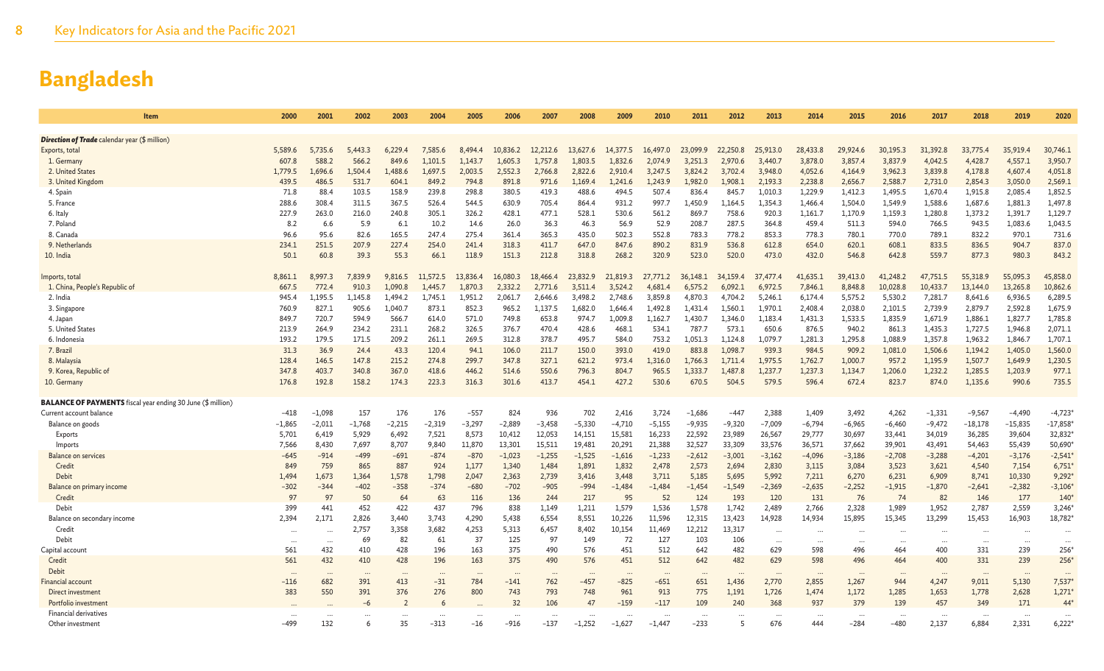| Item                                                               | 2000     | 2001      | 2002     | 2003     | 2004     | 2005     | 2006      | 2007     | 2008           | 2009     | 2010     | 2011     | 2012     | 2013     | 2014     | 2015     | 2016     | 2017     | 2018      | 2019      | 2020      |
|--------------------------------------------------------------------|----------|-----------|----------|----------|----------|----------|-----------|----------|----------------|----------|----------|----------|----------|----------|----------|----------|----------|----------|-----------|-----------|-----------|
|                                                                    |          |           |          |          |          |          |           |          |                |          |          |          |          |          |          |          |          |          |           |           |           |
| <b>Direction of Trade</b> calendar year (\$ million)               |          |           |          |          |          |          |           |          |                |          |          |          |          |          |          |          |          |          |           |           |           |
| Exports, total                                                     | 5,589.6  | 5.735.6   | 5.443.3  | 6.229.4  | 7.585.6  | 8.494.4  | 10,836.2  | 12,212.6 | 13,627.6       | 14,377.5 | 16.497.0 | 23,099.9 | 22,250.8 | 25,913.0 | 28,433.8 | 29,924.6 | 30,195.3 | 31,392.8 | 33,775.4  | 35,919.4  | 30,746.1  |
| 1. Germany                                                         | 607.8    | 588.2     | 566.2    | 849.6    | 1,101.5  | 1,143.7  | 1,605.3   | 1,757.8  | 1,803.5        | 1,832.6  | 2,074.9  | 3,251.3  | 2,970.6  | 3,440.7  | 3,878.0  | 3,857.4  | 3,837.9  | 4,042.5  | 4,428.7   | 4,557.    | 3,950.7   |
| 2. United States                                                   | 1,779.5  | 1,696.6   | 1,504.4  | 1,488.6  | 1,697.5  | 2,003.5  | 2,552.3   | 2,766.8  | 2,822.6        | 2,910.4  | 3,247.5  | 3,824.2  | 3,702.4  | 3,948.0  | 4,052.6  | 4,164.9  | 3,962.3  | 3,839.8  | 4,178.8   | 4,607.4   | 4,051.8   |
| 3. United Kingdom                                                  | 439.5    | 486.5     | 531.7    | 604.1    | 849.2    | 794.8    | 891.8     | 971.6    | 1,169.4        | 1,241.6  | 1.243.9  | 1,982.0  | 1.908.1  | 2,193.3  | 2,238.8  | 2,656.7  | 2,588.7  | 2,731.0  | 2,854.3   | 3,050.0   | 2,569.1   |
| 4. Spain                                                           | 71.8     | 88.4      | 103.5    | 158.9    | 239.8    | 298.8    | 380.5     | 419.3    | 488.6          | 494.5    | 507.4    | 836.4    | 845.7    | 1,010.3  | 1,229.9  | 1,412.3  | 1,495.5  | 1,670.4  | 1,915.8   | 2,085.4   | 1,852.5   |
| 5. France                                                          | 288.6    | 308.4     | 311.5    | 367.5    | 526.4    | 544.5    | 630.9     | 705.4    | 864.4          | 931.2    | 997.     | 1,450.9  | 1,164.5  | 1,354.3  | 1,466.4  | 1,504.0  | 1,549.9  | 1,588.6  | 1,687.6   | 1,881.3   | 1,497.8   |
| 6. Italy                                                           | 227.9    | 263.0     | 216.0    | 240.8    | 305.1    | 326.2    | 428.1     | 477.1    | 528.1          | 530.6    | 561.2    | 869.7    | 758.6    | 920.3    | 1,161.7  | 1,170.9  | 1,159.3  | 1,280.8  | 1,373.2   | 1,391.7   | 1,129.7   |
| 7. Poland                                                          | 8.2      | 6.6       | 5.9      | 6.1      | 10.2     | 14.6     | 26.0      | 36.3     | 46.3           | 56.9     | 52.9     | 208.7    | 287.5    | 364.8    | 459.4    | 511.3    | 594.0    | 766.5    | 943.5     | 1.083.6   | 1,043.5   |
| 8. Canada                                                          | 96.6     | 95.6      | 82.6     | 165.5    | 247.4    | 275.4    | 361.4     | 365.3    | 435.0          | 502.3    | 552.8    | 783.3    | 778.2    | 853.3    | 778.3    | 780.1    | 770.0    | 789.1    | 832.2     | 970.1     | 731.6     |
| 9. Netherlands                                                     | 234.1    | 251.5     | 207.9    | 227.4    | 254.0    | 241.4    | 318.3     | 411.7    | 647.0          | 847.6    | 890.2    | 831.9    | 536.8    | 612.8    | 654.0    | 620.1    | 608.1    | 833.5    | 836.5     | 904.7     | 837.0     |
| 10. India                                                          | 50.1     | 60.8      | 39.3     | 55.3     | 66.1     | 118.9    | 151.3     | 212.8    | 318.8          | 268.2    | 320.9    | 523.0    | 520.0    | 473.0    | 432.0    | 546.8    | 642.8    | 559.7    | 877.3     | 980.3     | 843.2     |
| Imports, total                                                     | 8,861.1  | 8,997.3   | 7,839.9  | 9,816.5  | 11.572.5 | 13,836.4 | 16,080.3  | 18,466.4 | 23,832.9       | 21,819.3 | 27,771.2 | 36,148.1 | 34,159.4 | 37,477.4 | 41,635.1 | 39,413.0 | 41,248.2 | 47,751.5 | 55,318.9  | 55,095.3  | 45,858.0  |
| 1. China, People's Republic of                                     | 667.5    | 772.4     | 910.3    | 1.090.8  | 1.445.7  | 1,870.3  | 2,332.2   | 2,771.6  | 3.511.4        | 3,524.2  | 4,681.4  | 6.575.2  | 6.092.1  | 6,972.5  | 7,846.1  | 8,848.8  | 10,028.8 | 10,433.7 | 13,144.0  | 13,265.8  | 10,862.6  |
| 2. India                                                           | 945.4    | L,195.5   | 1,145.8  | 1,494.2  | 1,745.1  | 1,951.2  | 2,061.7   | 2,646.6  | 3,498.2        | 2,748.6  | 3,859.8  | 4,870.3  | 4,704.2  | 5,246.1  | 6,174.4  | 5,575.2  | 5,530.2  | 7,281.7  | 8,641.6   | 6,936.5   | 6,289.5   |
| 3. Singapore                                                       | 760.9    | 827.1     | 905.6    | 1,040.7  | 873.1    | 852.3    | 965.2     | 1,137.5  | 1,682.0        | 1,646.4  | 1,492.8  | 1,431.4  | 1,560.1  | 1,970.1  | 2,408.4  | 2,038.0  | 2,101.5  | 2,739.9  | 2,879.7   | 2,592.8   | 1,675.9   |
| 4. Japan                                                           | 849.     | 720.7     | 594.9    | 566.7    | 614.0    | 571.0    | 749.8     | 653.8    | 974.7          | 1,009.8  | 1,162.7  | 1,430.7  | 1,346.0  | 1,183.4  | 1,431.3  | 1,533.5  | 1,835.9  | 1,671.9  | 1,886.1   | 1,827.7   | 1,785.8   |
| 5. United States                                                   | 213.9    | 264.9     | 234.2    | 231.1    | 268.2    | 326.5    | 376.7     | 470.4    | 428.6          | 468.1    | 534.1    | 787.7    | 573.1    | 650.6    | 876.5    | 940.2    | 861.3    | 1,435.3  | 1,727.5   | 1,946.8   | 2,071.1   |
| 6. Indonesia                                                       | 193.2    | 179.5     | 171.5    | 209.2    | 261.1    | 269.5    | 312.8     | 378.7    | 495.7          | 584.0    | 753.2    | 1,051.3  | 1,124.8  | 1,079.7  | 1,281.3  | 1,295.8  | 1,088.9  | 1,357.8  | 1,963.2   | 1,846.7   | 1,707.1   |
| 7. Brazil                                                          | 31.3     | 36.9      | 24.4     | 43.3     | 120.4    | 94.1     | 106.0     | 211.7    | 150.0          | 393.0    | 419.0    | 883.8    | 1,098.7  | 939.3    | 984.5    | 909.2    | 1,081.0  | 1,506.6  | 1,194.2   | 1,405.0   | 1,560.0   |
| 8. Malaysia                                                        | 128.     | 146.5     | 147.8    | 215.2    | 274.8    | 299.7    | 347.8     | 327.1    | 621.2          | 973.4    | 1.316.0  | 1,766.3  | 1.711.4  | 1.975.5  | 1,762.7  | 1,000.7  | 957.2    | 1,195.9  | 1,507.7   | 1,649.9   | 1,230.5   |
| 9. Korea, Republic of                                              | 347.8    | 403.7     | 340.8    | 367.0    | 418.6    | 446.2    | 514.6     | 550.6    | 796.3          | 804.7    | 965.5    | 1,333.7  | 1,487.8  | 1,237.7  | 1,237.3  | 1,134.7  | 1,206.0  | 1,232.2  | 1,285.5   | 1,203.9   | 977.1     |
| 10. Germany                                                        | 176.8    | 192.8     | 158.2    | 174.3    | 223.3    | 316.3    | 301.6     | 413.7    | 454.1          | 427.2    | 530.6    | 670.5    | 504.5    | 579.5    | 596.4    | 672.4    | 823.7    | 874.0    | 1,135.6   | 990.6     | 735.5     |
| <b>BALANCE OF PAYMENTS</b> fiscal year ending 30 June (\$ million) |          |           |          |          |          |          |           |          |                |          |          |          |          |          |          |          |          |          |           |           |           |
| Current account balance                                            | $-418$   | $-1,098$  | 157      | 176      | 176      | $-557$   | 824       | 936      | 702            | 2,416    | 3,724    | $-1,686$ | $-447$   | 2,388    | 1,409    | 3,492    | 4,262    | $-1,331$ | $-9,567$  | $-4,490$  | $-4,723'$ |
| Balance on goods                                                   | $-1,865$ | $-2,011$  | $-1,768$ | $-2,215$ | $-2,319$ | $-3,297$ | $-2,889$  | $-3,458$ | $-5,330$       | $-4,710$ | $-5,155$ | $-9,935$ | $-9,320$ | $-7,009$ | $-6,794$ | $-6,965$ | $-6,460$ | $-9,472$ | $-18,178$ | $-15,835$ | $-17,858$ |
| Exports                                                            | 5,701    | 6,419     | 5,929    | 6,492    | 7,521    | 8,573    | 10,412    | 12,053   | 14,151         | 15,581   | 16,233   | 22,592   | 23,989   | 26,567   | 29,777   | 30,697   | 33,441   | 34,019   | 36,285    | 39,604    | 32,832    |
| Imports                                                            | 7,566    | 8,430     | 7,697    | 8,707    | 9,840    | 11,870   | 13,301    | 15,511   | 19,481         | 20,291   | 21,388   | 32,527   | 33,309   | 33,576   | 36,571   | 37,662   | 39,901   | 43,491   | 54,463    | 55,439    | 50,690*   |
| <b>Balance on services</b>                                         | $-645$   | $-914$    | $-499$   | $-691$   | $-874$   | $-870$   | $-1,023$  | $-1,255$ | $-1,525$       | $-1,616$ | $-1,233$ | $-2,612$ | $-3,001$ | $-3,162$ | $-4,096$ | $-3,186$ | $-2,708$ | $-3,288$ | $-4,201$  | $-3,176$  | $-2,541$  |
| Credit                                                             | 849      | 759       | 865      | 887      | 924      | 1,177    | 1,340     | 1,484    | 1,891          | 1,832    | 2,478    | 2,573    | 2,694    | 2,830    | 3,115    | 3,084    | 3,523    | 3,621    | 4,540     | 7,154     | 6,751'    |
| Debit                                                              | 1,494    | 1,673     | 1,364    | 1,578    | 1,798    | 2,047    | 2,363     | 2,739    | 3,416          | 3,448    | 3,711    | 5,185    | 5,695    | 5,992    | 7,211    | 6,270    | 6,231    | 6,909    | 8,741     | 10,330    | 9,292     |
| Balance on primary income                                          | $-302$   | $-344$    | $-402$   | $-358$   | $-374$   | $-680$   | $-702$    | $-905$   | $-994$         | $-1,484$ | $-1,484$ | $-1,454$ | $-1,549$ | $-2,369$ | $-2,635$ | $-2,252$ | $-1,915$ | $-1,870$ | $-2,641$  | $-2,382$  | $-3,106*$ |
| Credit                                                             | 97       | 97        | 50       | 64       | 63       | 116      | 136       | 244      | 217            | 95       | 52       | 124      | 193      | 120      | 131      | 76       | 74       | 82       | 146       | 177       | 140       |
| Debit                                                              | 399      | 441       | 452      | 422      | 437      | 796      | 838       | 1.149    | 1.211          | 1,579    | 1.536    | 1.578    | 1.742    | 2.489    | 2,766    | 2,328    | 1,989    | 1,952    | 2,787     | 2,559     | 3,246'    |
| Balance on secondary income                                        | 2,394    | 2,171     | 2,826    | 3,440    | 3,743    | 4,290    | 5,438     | 6,554    | 8,551          | 10,226   | 11,596   | 12,315   | 13,423   | 14,928   | 14,934   | 15,895   | 15,345   | 13,299   | 15,453    | 16,903    | 18,782    |
| Credit                                                             |          |           | 2.757    | 3,358    | 3,682    | 4,253    | 5,313     | 6,457    | 8,402          | 10,154   | 11.469   | 12,212   | 13,317   |          |          |          |          |          |           |           |           |
| Debit                                                              |          | $\ddotsc$ | 69       | 82       | 61       | 37       | 125       | 97       | 149            | 72       | 127      | 103      | 106      |          |          |          |          |          | $\cdots$  | $\ddots$  | $\cdots$  |
| Capital account                                                    | 561      | 432       | 410      | 428      | 196      | 163      | 375       | 490      | 576            | 451      | 512      | 642      | 482      | 629      | 598      | 496      | 464      | 400      | 331       | 239       | 256*      |
| Credit                                                             | 561      | 432       | 410      | 428      | 196      | 163      | 375       | 490      | 576            | 451      | 512      | 642      | 482      | 629      | 598      | 496      | 464      | 400      | 331       | 239       | 256*      |
| Debit                                                              | $\cdots$ |           | $\cdots$ | $\cdots$ | $\cdots$ |          | $\cdots$  | $\cdots$ |                | $\cdots$ |          |          |          |          |          |          | $\cdots$ |          | $\cdots$  | $\cdots$  |           |
| <b>Financial account</b>                                           | $-116$   | 682       | 391      | 413      | $-31$    | 784      | $-141$    | 762      | $-457$         | $-825$   | $-651$   | 651      | 1,436    | 2,770    | 2,855    | 1,267    | 944      | 4,247    | 9,011     | 5,130     | $7,537*$  |
| Direct investment                                                  | 383      | 550       | 391      | 376      | 276      | 800      | 743       | 793      | 748            | 961      | 913      | 775      | 1,191    | 1,726    | 1,474    | 1,172    | 1,285    | 1,653    | 1,778     | 2,628     | 1,271'    |
| Portfolio investment                                               |          |           | $-6$     |          |          |          | 32        | 106      | 4 <sup>7</sup> | $-159$   | $-117$   | 109      | 240      | 368      | 937      | 379      | 139      | 457      | 349       | 171       | $44*$     |
| <b>Financial derivatives</b>                                       |          |           |          |          |          |          | $\ddotsc$ |          |                |          |          |          |          |          | $\cdots$ |          | $\cdots$ |          |           |           |           |
| Other investment                                                   | $-499$   | 132       | 6        | 35       | -313     | -16      | $-916$    | $-137$   | $-1,252$       | $-1,627$ | $-1,447$ | -233     | 5        | 676      | 444      | -284     | -480     | 2,137    | 6,884     | 2,331     | 6,222'    |
|                                                                    |          |           |          |          |          |          |           |          |                |          |          |          |          |          |          |          |          |          |           |           |           |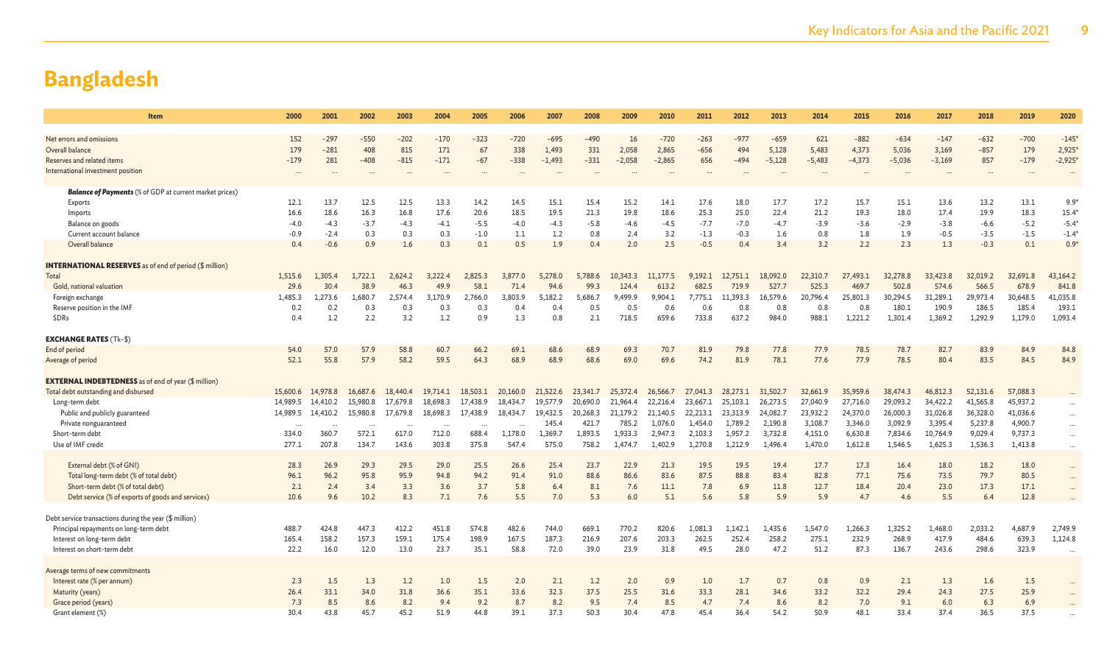| <b>Item</b>                                                    | 2000     | 2001     | 2002                     | 2003     | 2004     | 2005     | 2006     | 2007     | 2008     | 2009     | 2010     | 2011     | 2012     | 2013     | 2014     | 2015     | 2016     | 2017     | 2018     | 2019     | 2020                 |
|----------------------------------------------------------------|----------|----------|--------------------------|----------|----------|----------|----------|----------|----------|----------|----------|----------|----------|----------|----------|----------|----------|----------|----------|----------|----------------------|
|                                                                |          |          |                          |          |          |          |          |          |          |          |          |          |          |          |          |          |          |          |          |          |                      |
| Net errors and omissions                                       | 152      | $-297$   | $-550$                   | $-202$   | $-170$   | $-323$   | $-720$   | $-695$   | $-490$   | 16       | $-720$   | $-263$   | $-977$   | $-659$   | 621      | $-882$   | $-634$   | $-147$   | $-632$   | $-700$   | $-145*$              |
| Overall balance                                                | 179      | $-281$   | 408                      | 815      | 171      | 67       | 338      | 1,493    | 331      | 2,058    | 2,865    | $-656$   | 494      | 5,128    | 5,483    | 4,373    | 5,036    | 3,169    | $-857$   | 179      | 2,925                |
| Reserves and related items                                     | $-179$   | 281      | $-408$                   | $-815$   | $-171$   | $-67$    | $-338$   | $-1,493$ | $-331$   | $-2,058$ | $-2,865$ | 656      | $-494$   | $-5,128$ | $-5,483$ | $-4,373$ | $-5,036$ | $-3,169$ | 857      | $-179$   | $-2,925*$            |
| International investment position                              |          |          |                          |          |          |          |          |          |          |          |          |          |          |          |          |          |          |          | $\cdots$ |          |                      |
|                                                                |          |          |                          |          |          |          |          |          |          |          |          |          |          |          |          |          |          |          |          |          |                      |
| <b>Balance of Payments</b> (% of GDP at current market prices) |          |          |                          |          |          |          |          |          |          |          |          |          |          |          |          |          |          |          |          |          |                      |
| Exports                                                        | 12.1     | 13.7     | 12.5                     | 12.5     | 13.3     | 14.2     | 14.5     | 15.1     | 15.4     | 15.2     | 14.1     | 17.6     | 18.0     | 17.7     | 17.2     | 15.7     | 15.1     | 13.6     | 13.2     | 13.1     | $9.9*$               |
| Imports                                                        | 16.6     | 18.6     | 16.3                     | 16.8     | 17.6     | 20.6     | 18.5     | 19.5     | 21.3     | 19.8     | 18.6     | 25.3     | 25.0     | 22.4     | 21.2     | 19.3     | 18.0     | 17.4     | 19.9     | 18.3     | $15.4^{\circ}$       |
| Balance on goods                                               | $-4.0$   | $-4.3$   | $-3.7$                   | $-4.3$   | $-4.1$   | $-5.5$   | $-4.0$   | $-4.3$   | $-5.8$   | $-4.6$   | $-4.5$   | $-7.7$   | $-7.0$   | $-4.7$   | $-3.9$   | $-3.6$   | $-2.9$   | $-3.8$   | $-6.6$   | $-5.2$   | $-5.4*$              |
| Current account balance                                        | $-0.9$   | $-2.4$   | 0.3                      | 0.3      | 0.3      | $-1.0$   | 1.1      | 1.2      | 0.8      | 2.4      | 3.2      | $-1.3$   | $-0.3$   | 1.6      | 0.8      | 1.8      | 1.9      | $-0.5$   | $-3.5$   | $-1.5$   | $-1.4*$              |
| Overall balance                                                | 0.4      | $-0.6$   | 0.9                      | 1.6      | 0.3      | 0.1      | 0.5      | 1.9      | 0.4      | 2.0      | 2.5      | $-0.5$   | 0.4      | 3.4      | 3.2      | 2.2      | 2.3      | 1.3      | $-0.3$   | 0.1      | $0.9*$               |
|                                                                |          |          |                          |          |          |          |          |          |          |          |          |          |          |          |          |          |          |          |          |          |                      |
| <b>INTERNATIONAL RESERVES</b> as of end of period (\$ million) |          |          |                          |          |          |          |          |          |          |          |          |          |          |          |          |          |          |          |          |          |                      |
| Total                                                          | 1,515.6  | 1.305.4  | 1,722.1                  | 2.624.2  | 3.222.4  | 2.825.3  | 3,877.0  | 5,278.0  | 5.788.6  | 10.343.3 | 11,177.5 | 9.192.1  | 12,751.1 | 18,092.0 | 22,310.7 | 27,493.1 | 32,278.8 | 33,423.8 | 32,019.2 | 32,691.8 | 43,164.2             |
| Gold, national valuation                                       | 29.6     | 30.4     | 38.9                     | 46.3     | 49.9     | 58.1     | 71.4     | 94.6     | 99.3     | 124.4    | 613.2    | 682.5    | 719.9    | 527.     | 525.3    | 469      | 502.8    | 574.6    | 566.5    | 678.9    | 841.8                |
| Foreign exchange                                               | 1,485.3  | 1,273.6  | L,680.7                  | 2.574.4  | 3,170.9  | 2,766.0  | 3,803.9  | 5,182.2  | 5,686.7  | 9,499.9  | 9.904.1  | 7,775.1  | 11,393.3 | 16,579.6 | 20,796.4 | 25,801.3 | 30,294.5 | 31,289.1 | 29,973.4 | 30,648.5 | 41,035.8             |
| Reserve position in the IMF                                    | 0.2      | 0.2      | 0.3                      | 0.3      | 0.3      | 0.3      | 0.4      | 0.4      | 0.5      | 0.5      | 0.6      | 0.6      | 0.8      | 0.8      | 0.8      | 0.8      | 180.1    | 190.9    | 186.5    | 185.4    | 193.1                |
| SDRs                                                           | 0.4      | 1.2      | 2.2                      | 3.2      | 1.2      | 0.9      | 1.3      | 0.8      | 2.1      | 718.5    | 659.6    | 733.8    | 637.2    | 984.0    | 988.1    | 1,221.2  | 1,301.4  | 1,369.2  | 1,292.9  | 1,179.0  | 1,093.4              |
|                                                                |          |          |                          |          |          |          |          |          |          |          |          |          |          |          |          |          |          |          |          |          |                      |
| <b>EXCHANGE RATES (Tk-\$)</b>                                  |          |          |                          |          |          |          |          |          |          |          |          |          |          |          |          |          |          |          |          |          |                      |
| End of period                                                  | 54.0     | 57.0     | 57.9                     | 58.8     | 60.7     | 66.2     | 69.1     | 68.6     | 68.9     | 69.3     | 70.7     | 81.9     | 79.8     | 77.8     | 77.9     | 78.5     | 78.7     | 82.7     | 83.9     | 84.9     | 84.8                 |
| Average of period                                              | 52.1     | 55.8     | 57.9                     | 58.2     | 59.5     | 64.3     | 68.9     | 68.9     | 68.6     | 69.0     | 69.6     | 74.2     | 81.9     | 78.1     | 77.6     | 77.9     | 78.5     | 80.4     | 83.5     | 84.5     | 84.9                 |
|                                                                |          |          |                          |          |          |          |          |          |          |          |          |          |          |          |          |          |          |          |          |          |                      |
| <b>EXTERNAL INDEBTEDNESS</b> as of end of year (\$ million)    |          |          |                          |          |          |          |          |          |          |          |          |          |          |          |          |          |          |          |          |          |                      |
| Total debt outstanding and disbursed                           | 15,600.6 | 14,978.8 | 16,687.6                 | 18,440.4 | 19,714.1 | 18,503.1 | 20,160.0 | 21,522.6 | 23,341.7 | 25,372.4 | 26,566.7 | 27,041.3 | 28,273.1 | 31,502.7 | 32,661.9 | 35,959.6 | 38,474.3 | 46,812.3 | 52,131.6 | 57,088.3 |                      |
| Long-term debt                                                 | 14,989.5 | 14,410.2 | 15,980.8                 | 17.679.8 | 18,698.3 | 17,438.9 | 18,434.7 | 19,577.9 | 20,690.0 | 21,964.4 | 22.216.4 | 23,667.1 | 25.103.1 | 26,273.5 | 27,040.9 | 27,716.0 | 29,093.2 | 34,422.2 | 41,565.8 | 45,937.2 | $\cdots$             |
| Public and publicly guaranteed                                 | 14,989.5 | 14,410.2 | 15,980.8                 | 17,679.8 | 18,698.3 | 17,438.9 | 18,434.7 | 19,432.5 | 20,268.3 | 21,179.2 | 21,140.5 | 22,213.1 | 23,313.9 | 24,082.7 | 23,932.2 | 24,370.0 | 26,000.3 | 31,026.8 | 36,328.0 | 41,036.6 | $\cdots$             |
| Private nonguaranteed                                          |          |          | $\overline{\phantom{a}}$ |          | $\sim$   | $\sim$   |          | 145.4    | 421.7    | 785.2    | 1.076.0  | 1.454.0  | 1.789.2  | 2.190.8  | 3,108.7  | 3,346.0  | 3,092.9  | 3,395.4  | 5,237.8  | 4,900.7  | $\ddot{\phantom{a}}$ |
| Short-term debt                                                | 334.0    | 360.7    | 572.1                    | 617.0    | 712.0    | 688.4    | 1,178.0  | 1,369.7  | 1,893.5  | 1.933.3  | 2,947.3  | 2,103.3  | 1,957.2  | 3,732.8  | 4,151.0  | 6,630.8  | 7,834.6  | 10,764.9 | 9,029.4  | 9,737.3  | $\cdots$             |
| Use of IMF credit                                              | 277.1    | 207.8    | 134.7                    | 143.6    | 303.8    | 375.8    | 547.4    | 575.0    | 758.2    | 1.474.7  | 1,402.9  | 1,270.8  | 1,212.9  | 1,496.4  | 1,470.0  | 1,612.8  | 1,546.5  | 1,625.3  | 1,536.3  | 1,413.8  |                      |
|                                                                |          |          |                          |          |          |          |          |          |          |          |          |          |          |          |          |          |          |          |          |          |                      |
| External debt (% of GNI)                                       | 28.3     | 26.9     | 29.3                     | 29.5     | 29.0     | 25.5     | 26.6     | 25.4     | 23.7     | 22.9     | 21.3     | 19.5     | 19.5     | 19.4     | 17.7     | 17.3     | 16.4     | 18.0     | 18.2     | 18.0     | $\cdots$             |
| Total long-term debt (% of total debt)                         | 96.1     | 96.2     | 95.8                     | 95.9     | 94.8     | 94.2     | 91.4     | 91.0     | 88.6     | 86.6     | 83.6     | 87.5     | 88.8     | 83.4     | 82.8     | 77.1     | 75.6     | 73.5     | 79.7     | 80.5     | $\ddotsc$            |
| Short-term debt (% of total debt)                              | 2.1      | 2.4      | 3.4                      | 3.3      | 3.6      | 3.7      | 5.8      | 6.4      | 8.1      | 7.6      | 11.1     | 7.8      | 6.9      | 11.8     | 12.7     | 18.4     | 20.4     | 23.0     | 17.3     | 17.1     | $\ddotsc$            |
| Debt service (% of exports of goods and services)              | 10.6     | 9.6      | 10.2                     | 8.3      | 7.1      | 7.6      | 5.5      | 7.0      | 5.3      | 6.0      | 5.1      | 5.6      | 5.8      | 5.9      | 5.9      | 4.7      | 4.6      | 5.5      | 6.4      | 12.8     |                      |
|                                                                |          |          |                          |          |          |          |          |          |          |          |          |          |          |          |          |          |          |          |          |          |                      |
| Debt service transactions during the year (\$ million)         |          |          |                          |          |          |          |          |          |          |          |          |          |          |          |          |          |          |          |          |          |                      |
| Principal repayments on long-term debt                         | 488.7    | 424.8    | 447.3                    | 412.2    | 451.8    | 574.8    | 482.6    | 744.0    | 669.1    | 770.2    | 820.6    | 1,081.3  | 1,142.1  | 1,435.6  | 1,547.0  | 1,266.3  | 1,325.2  | 1,468.0  | 2,033.2  | 4,687.9  | 2,749.9              |
| Interest on long-term debt                                     | 165.4    | 158.2    | 157.3                    | 159.1    | 175.4    | 198.9    | 167.5    | 187.3    | 216.9    | 207.6    | 203.3    | 262.5    | 252.4    | 258.2    | 275.1    | 232.9    | 268.9    | 417.9    | 484.6    | 639.3    | 1,124.8              |
| Interest on short-term debt                                    | 22.2     | 16.0     | 12.0                     | 13.0     | 23.7     | 35.1     | 58.8     | 72.0     | 39.0     | 23.9     | 31.8     | 49.5     | 28.0     | 47.2     | 51.2     | 87.3     | 136.7    | 243.6    | 298.6    | 323.9    | $\ddot{\phantom{a}}$ |
|                                                                |          |          |                          |          |          |          |          |          |          |          |          |          |          |          |          |          |          |          |          |          |                      |
| Average terms of new commitments                               |          |          |                          |          |          |          |          |          |          |          |          |          |          |          |          |          |          |          |          |          |                      |
| Interest rate (% per annum)                                    | 2.3      | 1.5      | 1.3                      | 1.2      | 1.0      | 1.5      | 2.0      | 2.1      | 1.2      | 2.0      | 0.9      | 1.0      | 1.7      | 0.7      | 0.8      | 0.9      | 2.1      | 1.3      | 1.6      | 1.5      |                      |
| Maturity (years)                                               | 26.4     | 33.1     | 34.0                     | 31.8     | 36.6     | 35.1     | 33.6     | 32.3     | 37.5     | 25.5     | 31.6     | 33.3     | 28.1     | 34.6     | 33.2     | 32.2     | 29.4     | 24.3     | 27.5     | 25.9     |                      |
| Grace period (years)                                           | 7.3      | 8.5      | 8.6                      | 8.2      | 9.4      | 9.2      | 8.7      | 8.2      | 9.5      | 7.4      | 8.5      | 4.7      | 7.4      | 8.6      | 8.2      | 7.0      | 9.1      | 6.0      | 6.3      | 6.9      |                      |
| Grant element (%)                                              | 30.4     | 43.8     | 45.7                     | 45.2     | 51.9     | 44.8     | 39.1     | 37.3     | 50.3     | 30.4     | 47.8     | 45.4     | 36.4     | 54.2     | 50.9     | 48.1     | 33.4     | 37.4     | 36.5     | 37.5     |                      |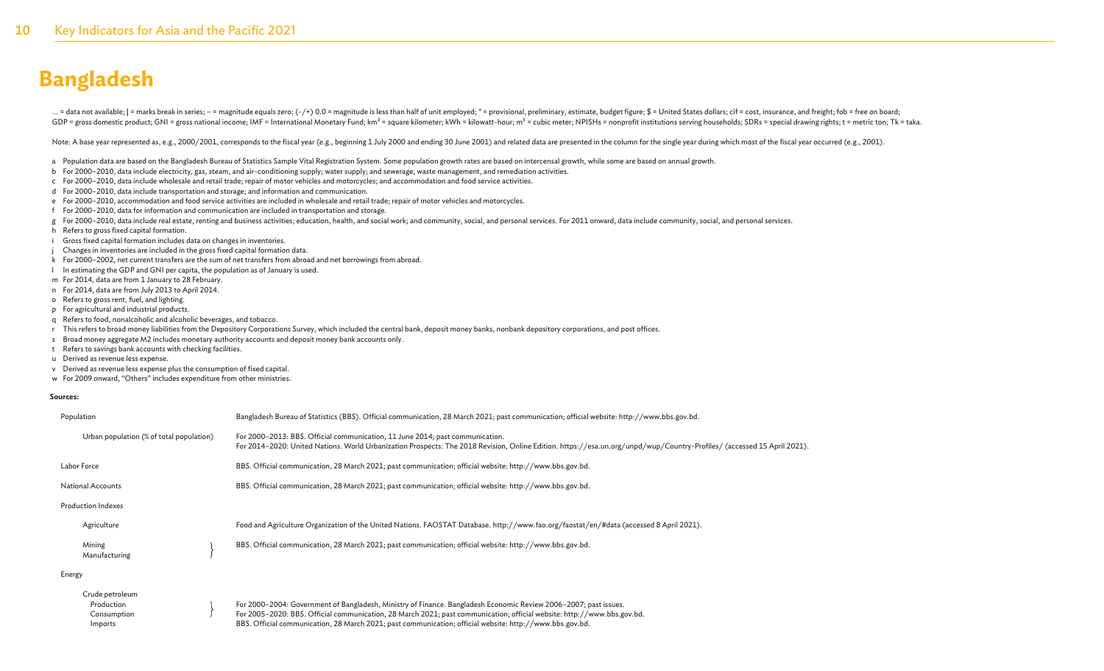... = data not available; | = marks break in series; - = magnitude equals zero; (-/+) 0.0 = magnitude is less than half of unit employed; \* = provisional, preliminary, estimate, budget figure; \$ = United States dollars; ci GDP = gross domestic product; GNI = gross national income; IMF = International Monetary Fund; km<sup>2</sup> = square kilometer; kWh = kilowatt-hour; m<sup>3</sup> = cubic meter; NPISHs = nonprofit institutions serving households; SDRs = sp

Note: A base year represented as, e.g., 2000/2001, corresponds to the fiscal year (e.g., beginning 1 July 2000 and ending 30 June 2001) and related data are presented in the column for the single year during which most of

- a Population data are based on the Bangladesh Bureau of Statistics Sample Vital Registration System. Some population growth rates are based on intercensal growth, while some are based on annual growth.
- b For 2000–2010, data include electricity, gas, steam, and air-conditioning supply; water supply; and sewerage, waste management, and remediation activities.
- c For 2000–2010, data include wholesale and retail trade; repair of motor vehicles and motorcycles; and accommodation and food service activities.
- d For 2000–2010, data include transportation and storage; and information and communication.
- e For 2000–2010, accommodation and food service activities are included in wholesale and retail trade; repair of motor vehicles and motorcycles.
- f For 2000–2010, data for information and communication are included in transportation and storage.
- g For 2000-2010, data include real estate, renting and business activities; education, health, and social work; and community, social, and personal services. For 2011 onward, data include community, social, and personal se
- h Refers to gross fixed capital formation.
- i Gross fixed capital formation includes data on changes in inventories.
- Changes in inventories are included in the gross fixed capital formation data.
- k For 2000–2002, net current transfers are the sum of net transfers from abroad and net borrowings from abroad.
- l In estimating the GDP and GNI per capita, the population as of January is used.
- m For 2014, data are from 1 January to 28 February.
- n For 2014, data are from July 2013 to April 2014.
- o Refers to gross rent, fuel, and lighting.
- p For agricultural and industrial products.
- q Refers to food, nonalcoholic and alcoholic beverages, and tobacco.
- r This refers to broad money liabilities from the Depository Corporations Survey, which included the central bank, deposit money banks, nonbank depository corporations, and post offices.
- s Broad money aggregate M2 includes monetary authority accounts and deposit money bank accounts only.
- t Refers to savings bank accounts with checking facilities.
- u Derived as revenue less expense.
- v Derived as revenue less expense plus the consumption of fixed capital.
- w For 2009 onward, "Others" includes expenditure from other ministries.

#### **Sources:**

| Population                                   | Bangladesh Bureau of Statistics (BBS). Official communication, 28 March 2021; past communication; official website: http://www.bbs.gov.bd.                                                                                                               |
|----------------------------------------------|----------------------------------------------------------------------------------------------------------------------------------------------------------------------------------------------------------------------------------------------------------|
| Urban population (% of total population)     | For 2000-2013: BBS. Official communication, 11 June 2014; past communication.<br>For 2014-2020: United Nations. World Urbanization Prospects: The 2018 Revision, Online Edition. https://esa.un.org/unpd/wup/Country-Profiles/ (accessed 15 April 2021). |
| Labor Force                                  | BBS. Official communication, 28 March 2021; past communication; official website: http://www.bbs.gov.bd.                                                                                                                                                 |
| <b>National Accounts</b>                     | BBS. Official communication, 28 March 2021; past communication; official website: http://www.bbs.gov.bd.                                                                                                                                                 |
| <b>Production Indexes</b>                    |                                                                                                                                                                                                                                                          |
| Agriculture                                  | Food and Agriculture Organization of the United Nations. FAOSTAT Database. http://www.fao.org/faostat/en/#data (accessed 8 April 2021).                                                                                                                  |
| Mining<br>Manufacturing                      | BBS. Official communication, 28 March 2021; past communication; official website: http://www.bbs.gov.bd.                                                                                                                                                 |
| Energy                                       |                                                                                                                                                                                                                                                          |
| Crude petroleum<br>Production<br>Consumption | For 2000-2004: Government of Bangladesh, Ministry of Finance. Bangladesh Economic Review 2006-2007; past issues.<br>For 2005-2020: BBS. Official communication, 28 March 2021; past communication; official website: http://www.bbs.gov.bd.              |
| Imports                                      | BBS. Official communication, 28 March 2021; past communication; official website: http://www.bbs.gov.bd.                                                                                                                                                 |